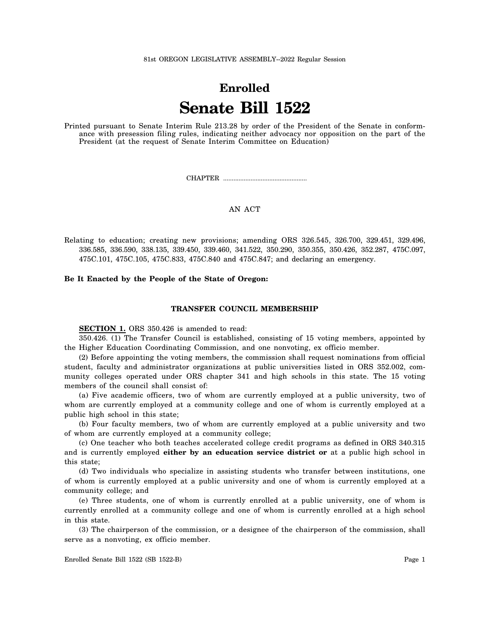81st OREGON LEGISLATIVE ASSEMBLY--2022 Regular Session

# **Enrolled Senate Bill 1522**

Printed pursuant to Senate Interim Rule 213.28 by order of the President of the Senate in conformance with presession filing rules, indicating neither advocacy nor opposition on the part of the President (at the request of Senate Interim Committee on Education)

CHAPTER .................................................

## AN ACT

#### **Be It Enacted by the People of the State of Oregon:**

#### **TRANSFER COUNCIL MEMBERSHIP**

**SECTION 1.** ORS 350.426 is amended to read:

350.426. (1) The Transfer Council is established, consisting of 15 voting members, appointed by the Higher Education Coordinating Commission, and one nonvoting, ex officio member.

(2) Before appointing the voting members, the commission shall request nominations from official student, faculty and administrator organizations at public universities listed in ORS 352.002, community colleges operated under ORS chapter 341 and high schools in this state. The 15 voting members of the council shall consist of:

(a) Five academic officers, two of whom are currently employed at a public university, two of whom are currently employed at a community college and one of whom is currently employed at a public high school in this state;

(b) Four faculty members, two of whom are currently employed at a public university and two of whom are currently employed at a community college;

(c) One teacher who both teaches accelerated college credit programs as defined in ORS 340.315 and is currently employed **either by an education service district or** at a public high school in this state;

(d) Two individuals who specialize in assisting students who transfer between institutions, one of whom is currently employed at a public university and one of whom is currently employed at a community college; and

(e) Three students, one of whom is currently enrolled at a public university, one of whom is currently enrolled at a community college and one of whom is currently enrolled at a high school in this state.

(3) The chairperson of the commission, or a designee of the chairperson of the commission, shall serve as a nonvoting, ex officio member.

Relating to education; creating new provisions; amending ORS 326.545, 326.700, 329.451, 329.496, 336.585, 336.590, 338.135, 339.450, 339.460, 341.522, 350.290, 350.355, 350.426, 352.287, 475C.097, 475C.101, 475C.105, 475C.833, 475C.840 and 475C.847; and declaring an emergency.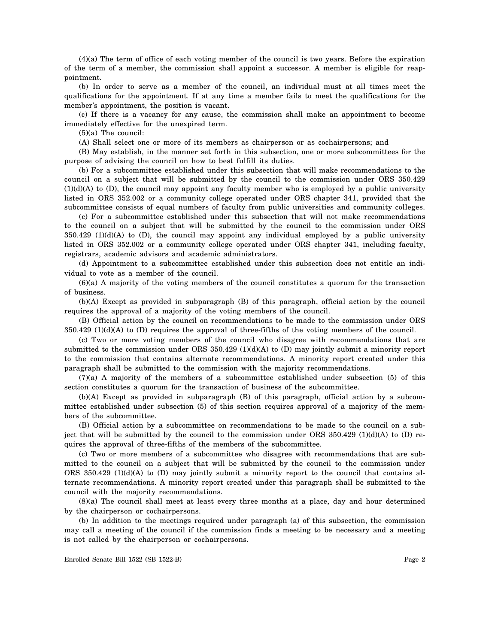(4)(a) The term of office of each voting member of the council is two years. Before the expiration of the term of a member, the commission shall appoint a successor. A member is eligible for reappointment.

(b) In order to serve as a member of the council, an individual must at all times meet the qualifications for the appointment. If at any time a member fails to meet the qualifications for the member's appointment, the position is vacant.

(c) If there is a vacancy for any cause, the commission shall make an appointment to become immediately effective for the unexpired term.

(5)(a) The council:

(A) Shall select one or more of its members as chairperson or as cochairpersons; and

(B) May establish, in the manner set forth in this subsection, one or more subcommittees for the purpose of advising the council on how to best fulfill its duties.

(b) For a subcommittee established under this subsection that will make recommendations to the council on a subject that will be submitted by the council to the commission under ORS 350.429  $(1)(d)(A)$  to  $(D)$ , the council may appoint any faculty member who is employed by a public university listed in ORS 352.002 or a community college operated under ORS chapter 341, provided that the subcommittee consists of equal numbers of faculty from public universities and community colleges.

(c) For a subcommittee established under this subsection that will not make recommendations to the council on a subject that will be submitted by the council to the commission under ORS  $350.429$  (1)(d)(A) to (D), the council may appoint any individual employed by a public university listed in ORS 352.002 or a community college operated under ORS chapter 341, including faculty, registrars, academic advisors and academic administrators.

(d) Appointment to a subcommittee established under this subsection does not entitle an individual to vote as a member of the council.

(6)(a) A majority of the voting members of the council constitutes a quorum for the transaction of business.

(b)(A) Except as provided in subparagraph (B) of this paragraph, official action by the council requires the approval of a majority of the voting members of the council.

(B) Official action by the council on recommendations to be made to the commission under ORS  $350.429$  (1)(d)(A) to (D) requires the approval of three-fifths of the voting members of the council.

(c) Two or more voting members of the council who disagree with recommendations that are submitted to the commission under ORS 350.429 (1)(d)(A) to (D) may jointly submit a minority report to the commission that contains alternate recommendations. A minority report created under this paragraph shall be submitted to the commission with the majority recommendations.

(7)(a) A majority of the members of a subcommittee established under subsection (5) of this section constitutes a quorum for the transaction of business of the subcommittee.

(b)(A) Except as provided in subparagraph (B) of this paragraph, official action by a subcommittee established under subsection (5) of this section requires approval of a majority of the members of the subcommittee.

(B) Official action by a subcommittee on recommendations to be made to the council on a subject that will be submitted by the council to the commission under ORS  $350.429 \text{ (1)(d)(A)}$  to (D) requires the approval of three-fifths of the members of the subcommittee.

(c) Two or more members of a subcommittee who disagree with recommendations that are submitted to the council on a subject that will be submitted by the council to the commission under ORS 350.429 (1)(d)(A) to (D) may jointly submit a minority report to the council that contains alternate recommendations. A minority report created under this paragraph shall be submitted to the council with the majority recommendations.

(8)(a) The council shall meet at least every three months at a place, day and hour determined by the chairperson or cochairpersons.

(b) In addition to the meetings required under paragraph (a) of this subsection, the commission may call a meeting of the council if the commission finds a meeting to be necessary and a meeting is not called by the chairperson or cochairpersons.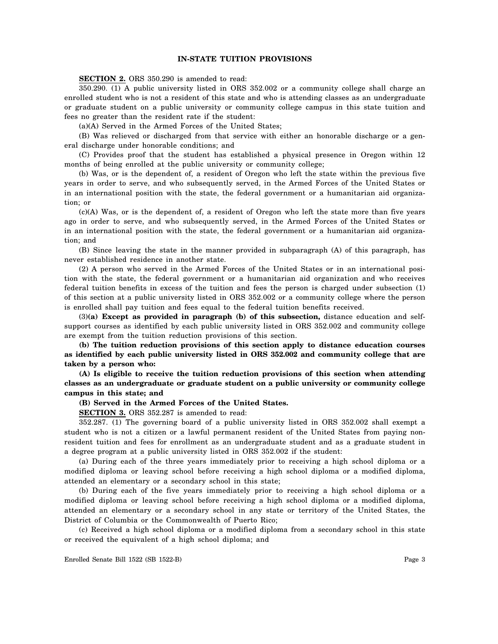# **IN-STATE TUITION PROVISIONS**

**SECTION 2.** ORS 350.290 is amended to read:

350.290. (1) A public university listed in ORS 352.002 or a community college shall charge an enrolled student who is not a resident of this state and who is attending classes as an undergraduate or graduate student on a public university or community college campus in this state tuition and fees no greater than the resident rate if the student:

(a)(A) Served in the Armed Forces of the United States;

(B) Was relieved or discharged from that service with either an honorable discharge or a general discharge under honorable conditions; and

(C) Provides proof that the student has established a physical presence in Oregon within 12 months of being enrolled at the public university or community college;

(b) Was, or is the dependent of, a resident of Oregon who left the state within the previous five years in order to serve, and who subsequently served, in the Armed Forces of the United States or in an international position with the state, the federal government or a humanitarian aid organization; or

(c)(A) Was, or is the dependent of, a resident of Oregon who left the state more than five years ago in order to serve, and who subsequently served, in the Armed Forces of the United States or in an international position with the state, the federal government or a humanitarian aid organization; and

(B) Since leaving the state in the manner provided in subparagraph (A) of this paragraph, has never established residence in another state.

(2) A person who served in the Armed Forces of the United States or in an international position with the state, the federal government or a humanitarian aid organization and who receives federal tuition benefits in excess of the tuition and fees the person is charged under subsection (1) of this section at a public university listed in ORS 352.002 or a community college where the person is enrolled shall pay tuition and fees equal to the federal tuition benefits received.

(3)**(a) Except as provided in paragraph (b) of this subsection,** distance education and selfsupport courses as identified by each public university listed in ORS 352.002 and community college are exempt from the tuition reduction provisions of this section.

**(b) The tuition reduction provisions of this section apply to distance education courses as identified by each public university listed in ORS 352.002 and community college that are taken by a person who:**

**(A) Is eligible to receive the tuition reduction provisions of this section when attending classes as an undergraduate or graduate student on a public university or community college campus in this state; and**

#### **(B) Served in the Armed Forces of the United States.**

**SECTION 3.** ORS 352.287 is amended to read:

352.287. (1) The governing board of a public university listed in ORS 352.002 shall exempt a student who is not a citizen or a lawful permanent resident of the United States from paying nonresident tuition and fees for enrollment as an undergraduate student and as a graduate student in a degree program at a public university listed in ORS 352.002 if the student:

(a) During each of the three years immediately prior to receiving a high school diploma or a modified diploma or leaving school before receiving a high school diploma or a modified diploma, attended an elementary or a secondary school in this state;

(b) During each of the five years immediately prior to receiving a high school diploma or a modified diploma or leaving school before receiving a high school diploma or a modified diploma, attended an elementary or a secondary school in any state or territory of the United States, the District of Columbia or the Commonwealth of Puerto Rico;

(c) Received a high school diploma or a modified diploma from a secondary school in this state or received the equivalent of a high school diploma; and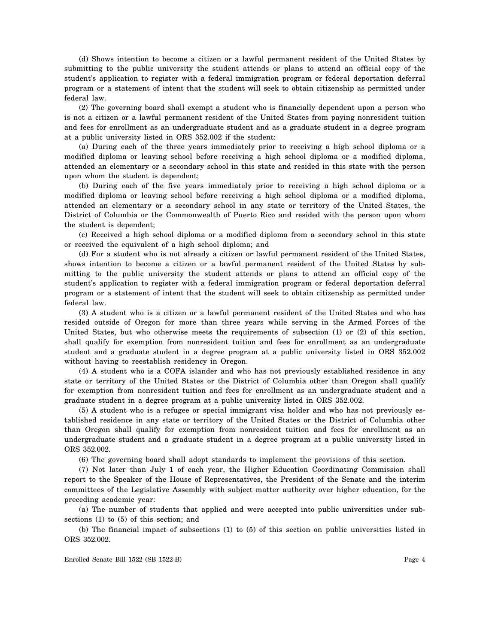(d) Shows intention to become a citizen or a lawful permanent resident of the United States by submitting to the public university the student attends or plans to attend an official copy of the student's application to register with a federal immigration program or federal deportation deferral program or a statement of intent that the student will seek to obtain citizenship as permitted under federal law.

(2) The governing board shall exempt a student who is financially dependent upon a person who is not a citizen or a lawful permanent resident of the United States from paying nonresident tuition and fees for enrollment as an undergraduate student and as a graduate student in a degree program at a public university listed in ORS 352.002 if the student:

(a) During each of the three years immediately prior to receiving a high school diploma or a modified diploma or leaving school before receiving a high school diploma or a modified diploma, attended an elementary or a secondary school in this state and resided in this state with the person upon whom the student is dependent;

(b) During each of the five years immediately prior to receiving a high school diploma or a modified diploma or leaving school before receiving a high school diploma or a modified diploma, attended an elementary or a secondary school in any state or territory of the United States, the District of Columbia or the Commonwealth of Puerto Rico and resided with the person upon whom the student is dependent;

(c) Received a high school diploma or a modified diploma from a secondary school in this state or received the equivalent of a high school diploma; and

(d) For a student who is not already a citizen or lawful permanent resident of the United States, shows intention to become a citizen or a lawful permanent resident of the United States by submitting to the public university the student attends or plans to attend an official copy of the student's application to register with a federal immigration program or federal deportation deferral program or a statement of intent that the student will seek to obtain citizenship as permitted under federal law.

(3) A student who is a citizen or a lawful permanent resident of the United States and who has resided outside of Oregon for more than three years while serving in the Armed Forces of the United States, but who otherwise meets the requirements of subsection (1) or (2) of this section, shall qualify for exemption from nonresident tuition and fees for enrollment as an undergraduate student and a graduate student in a degree program at a public university listed in ORS 352.002 without having to reestablish residency in Oregon.

(4) A student who is a COFA islander and who has not previously established residence in any state or territory of the United States or the District of Columbia other than Oregon shall qualify for exemption from nonresident tuition and fees for enrollment as an undergraduate student and a graduate student in a degree program at a public university listed in ORS 352.002.

(5) A student who is a refugee or special immigrant visa holder and who has not previously established residence in any state or territory of the United States or the District of Columbia other than Oregon shall qualify for exemption from nonresident tuition and fees for enrollment as an undergraduate student and a graduate student in a degree program at a public university listed in ORS 352.002.

(6) The governing board shall adopt standards to implement the provisions of this section.

(7) Not later than July 1 of each year, the Higher Education Coordinating Commission shall report to the Speaker of the House of Representatives, the President of the Senate and the interim committees of the Legislative Assembly with subject matter authority over higher education, for the preceding academic year:

(a) The number of students that applied and were accepted into public universities under subsections (1) to (5) of this section; and

(b) The financial impact of subsections (1) to (5) of this section on public universities listed in ORS 352.002.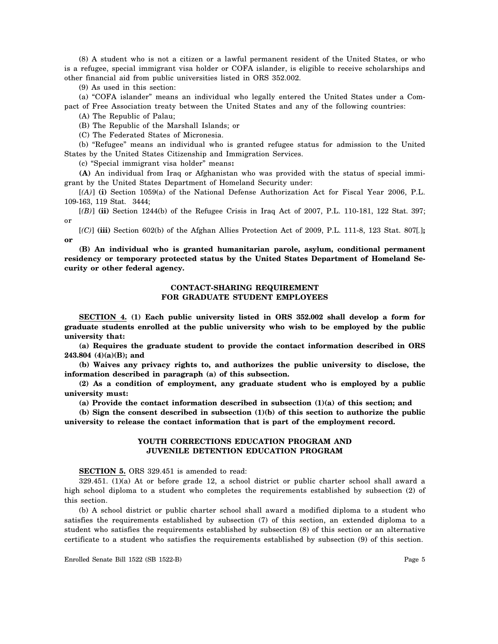(8) A student who is not a citizen or a lawful permanent resident of the United States, or who is a refugee, special immigrant visa holder or COFA islander, is eligible to receive scholarships and other financial aid from public universities listed in ORS 352.002.

(9) As used in this section:

(a) "COFA islander" means an individual who legally entered the United States under a Compact of Free Association treaty between the United States and any of the following countries:

(A) The Republic of Palau;

(B) The Republic of the Marshall Islands; or

(C) The Federated States of Micronesia.

(b) "Refugee" means an individual who is granted refugee status for admission to the United States by the United States Citizenship and Immigration Services.

(c) "Special immigrant visa holder" means**:**

**(A)** An individual from Iraq or Afghanistan who was provided with the status of special immigrant by the United States Department of Homeland Security under:

[*(A)*] **(i)** Section 1059(a) of the National Defense Authorization Act for Fiscal Year 2006, P.L. 109-163, 119 Stat. 3444;

[*(B)*] **(ii)** Section 1244(b) of the Refugee Crisis in Iraq Act of 2007, P.L. 110-181, 122 Stat. 397; or

[*(C)*] **(iii)** Section 602(b) of the Afghan Allies Protection Act of 2009, P.L. 111-8, 123 Stat. 807[*.*]**; or**

**(B) An individual who is granted humanitarian parole, asylum, conditional permanent residency or temporary protected status by the United States Department of Homeland Security or other federal agency.**

# **CONTACT-SHARING REQUIREMENT FOR GRADUATE STUDENT EMPLOYEES**

**SECTION 4. (1) Each public university listed in ORS 352.002 shall develop a form for graduate students enrolled at the public university who wish to be employed by the public university that:**

**(a) Requires the graduate student to provide the contact information described in ORS 243.804 (4)(a)(B); and**

**(b) Waives any privacy rights to, and authorizes the public university to disclose, the information described in paragraph (a) of this subsection.**

**(2) As a condition of employment, any graduate student who is employed by a public university must:**

**(a) Provide the contact information described in subsection (1)(a) of this section; and**

**(b) Sign the consent described in subsection (1)(b) of this section to authorize the public university to release the contact information that is part of the employment record.**

# **YOUTH CORRECTIONS EDUCATION PROGRAM AND JUVENILE DETENTION EDUCATION PROGRAM**

#### **SECTION 5.** ORS 329.451 is amended to read:

329.451. (1)(a) At or before grade 12, a school district or public charter school shall award a high school diploma to a student who completes the requirements established by subsection (2) of this section.

(b) A school district or public charter school shall award a modified diploma to a student who satisfies the requirements established by subsection (7) of this section, an extended diploma to a student who satisfies the requirements established by subsection (8) of this section or an alternative certificate to a student who satisfies the requirements established by subsection (9) of this section.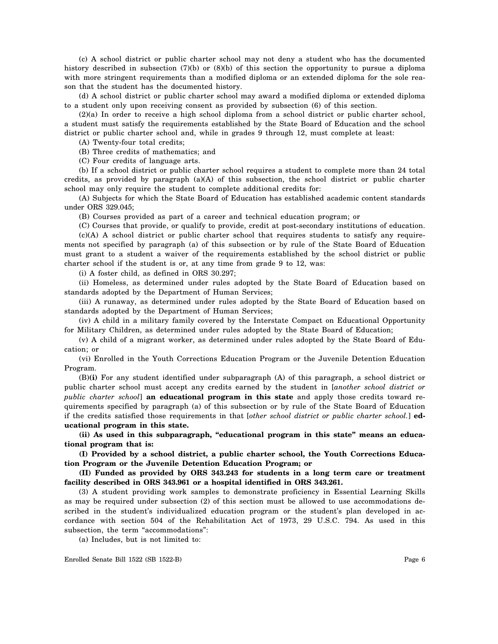(c) A school district or public charter school may not deny a student who has the documented history described in subsection (7)(b) or (8)(b) of this section the opportunity to pursue a diploma with more stringent requirements than a modified diploma or an extended diploma for the sole reason that the student has the documented history.

(d) A school district or public charter school may award a modified diploma or extended diploma to a student only upon receiving consent as provided by subsection (6) of this section.

(2)(a) In order to receive a high school diploma from a school district or public charter school, a student must satisfy the requirements established by the State Board of Education and the school district or public charter school and, while in grades 9 through 12, must complete at least:

(A) Twenty-four total credits;

(B) Three credits of mathematics; and

(C) Four credits of language arts.

(b) If a school district or public charter school requires a student to complete more than 24 total credits, as provided by paragraph (a)(A) of this subsection, the school district or public charter school may only require the student to complete additional credits for:

(A) Subjects for which the State Board of Education has established academic content standards under ORS 329.045;

(B) Courses provided as part of a career and technical education program; or

(C) Courses that provide, or qualify to provide, credit at post-secondary institutions of education. (c)(A) A school district or public charter school that requires students to satisfy any requirements not specified by paragraph (a) of this subsection or by rule of the State Board of Education must grant to a student a waiver of the requirements established by the school district or public charter school if the student is or, at any time from grade 9 to 12, was:

(i) A foster child, as defined in ORS 30.297;

(ii) Homeless, as determined under rules adopted by the State Board of Education based on standards adopted by the Department of Human Services;

(iii) A runaway, as determined under rules adopted by the State Board of Education based on standards adopted by the Department of Human Services;

(iv) A child in a military family covered by the Interstate Compact on Educational Opportunity for Military Children, as determined under rules adopted by the State Board of Education;

(v) A child of a migrant worker, as determined under rules adopted by the State Board of Education; or

(vi) Enrolled in the Youth Corrections Education Program or the Juvenile Detention Education Program.

(B)**(i)** For any student identified under subparagraph (A) of this paragraph, a school district or public charter school must accept any credits earned by the student in [*another school district or public charter school*] **an educational program in this state** and apply those credits toward requirements specified by paragraph (a) of this subsection or by rule of the State Board of Education if the credits satisfied those requirements in that [*other school district or public charter school.*] **educational program in this state.**

**(ii) As used in this subparagraph, "educational program in this state" means an educational program that is:**

**(I) Provided by a school district, a public charter school, the Youth Corrections Education Program or the Juvenile Detention Education Program; or**

**(II) Funded as provided by ORS 343.243 for students in a long term care or treatment facility described in ORS 343.961 or a hospital identified in ORS 343.261.**

(3) A student providing work samples to demonstrate proficiency in Essential Learning Skills as may be required under subsection (2) of this section must be allowed to use accommodations described in the student's individualized education program or the student's plan developed in accordance with section 504 of the Rehabilitation Act of 1973, 29 U.S.C. 794. As used in this subsection, the term "accommodations":

(a) Includes, but is not limited to: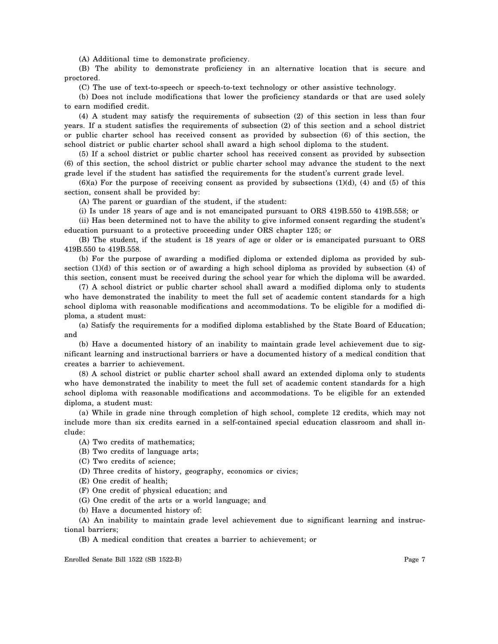(A) Additional time to demonstrate proficiency.

(B) The ability to demonstrate proficiency in an alternative location that is secure and proctored.

(C) The use of text-to-speech or speech-to-text technology or other assistive technology.

(b) Does not include modifications that lower the proficiency standards or that are used solely to earn modified credit.

(4) A student may satisfy the requirements of subsection (2) of this section in less than four years. If a student satisfies the requirements of subsection (2) of this section and a school district or public charter school has received consent as provided by subsection (6) of this section, the school district or public charter school shall award a high school diploma to the student.

(5) If a school district or public charter school has received consent as provided by subsection (6) of this section, the school district or public charter school may advance the student to the next grade level if the student has satisfied the requirements for the student's current grade level.

 $(6)(a)$  For the purpose of receiving consent as provided by subsections  $(1)(d)$ ,  $(4)$  and  $(5)$  of this section, consent shall be provided by:

(A) The parent or guardian of the student, if the student:

(i) Is under 18 years of age and is not emancipated pursuant to ORS 419B.550 to 419B.558; or

(ii) Has been determined not to have the ability to give informed consent regarding the student's education pursuant to a protective proceeding under ORS chapter 125; or

(B) The student, if the student is 18 years of age or older or is emancipated pursuant to ORS 419B.550 to 419B.558.

(b) For the purpose of awarding a modified diploma or extended diploma as provided by subsection (1)(d) of this section or of awarding a high school diploma as provided by subsection (4) of this section, consent must be received during the school year for which the diploma will be awarded.

(7) A school district or public charter school shall award a modified diploma only to students who have demonstrated the inability to meet the full set of academic content standards for a high school diploma with reasonable modifications and accommodations. To be eligible for a modified diploma, a student must:

(a) Satisfy the requirements for a modified diploma established by the State Board of Education; and

(b) Have a documented history of an inability to maintain grade level achievement due to significant learning and instructional barriers or have a documented history of a medical condition that creates a barrier to achievement.

(8) A school district or public charter school shall award an extended diploma only to students who have demonstrated the inability to meet the full set of academic content standards for a high school diploma with reasonable modifications and accommodations. To be eligible for an extended diploma, a student must:

(a) While in grade nine through completion of high school, complete 12 credits, which may not include more than six credits earned in a self-contained special education classroom and shall include:

(A) Two credits of mathematics;

(B) Two credits of language arts;

(C) Two credits of science;

(D) Three credits of history, geography, economics or civics;

(E) One credit of health;

(F) One credit of physical education; and

(G) One credit of the arts or a world language; and

(b) Have a documented history of:

(A) An inability to maintain grade level achievement due to significant learning and instructional barriers;

(B) A medical condition that creates a barrier to achievement; or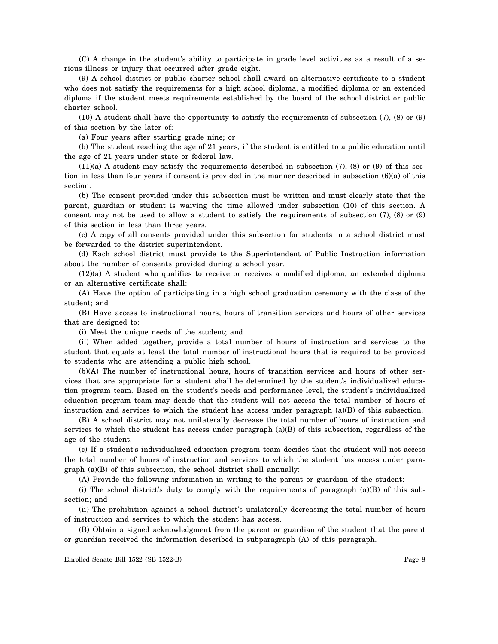(C) A change in the student's ability to participate in grade level activities as a result of a serious illness or injury that occurred after grade eight.

(9) A school district or public charter school shall award an alternative certificate to a student who does not satisfy the requirements for a high school diploma, a modified diploma or an extended diploma if the student meets requirements established by the board of the school district or public charter school.

(10) A student shall have the opportunity to satisfy the requirements of subsection (7), (8) or (9) of this section by the later of:

(a) Four years after starting grade nine; or

(b) The student reaching the age of 21 years, if the student is entitled to a public education until the age of 21 years under state or federal law.

 $(11)(a)$  A student may satisfy the requirements described in subsection  $(7)$ ,  $(8)$  or  $(9)$  of this section in less than four years if consent is provided in the manner described in subsection  $(6)(a)$  of this section.

(b) The consent provided under this subsection must be written and must clearly state that the parent, guardian or student is waiving the time allowed under subsection (10) of this section. A consent may not be used to allow a student to satisfy the requirements of subsection (7), (8) or (9) of this section in less than three years.

(c) A copy of all consents provided under this subsection for students in a school district must be forwarded to the district superintendent.

(d) Each school district must provide to the Superintendent of Public Instruction information about the number of consents provided during a school year.

(12)(a) A student who qualifies to receive or receives a modified diploma, an extended diploma or an alternative certificate shall:

(A) Have the option of participating in a high school graduation ceremony with the class of the student; and

(B) Have access to instructional hours, hours of transition services and hours of other services that are designed to:

(i) Meet the unique needs of the student; and

(ii) When added together, provide a total number of hours of instruction and services to the student that equals at least the total number of instructional hours that is required to be provided to students who are attending a public high school.

(b)(A) The number of instructional hours, hours of transition services and hours of other services that are appropriate for a student shall be determined by the student's individualized education program team. Based on the student's needs and performance level, the student's individualized education program team may decide that the student will not access the total number of hours of instruction and services to which the student has access under paragraph (a)(B) of this subsection.

(B) A school district may not unilaterally decrease the total number of hours of instruction and services to which the student has access under paragraph (a)(B) of this subsection, regardless of the age of the student.

(c) If a student's individualized education program team decides that the student will not access the total number of hours of instruction and services to which the student has access under paragraph (a)(B) of this subsection, the school district shall annually:

(A) Provide the following information in writing to the parent or guardian of the student:

(i) The school district's duty to comply with the requirements of paragraph (a)(B) of this subsection; and

(ii) The prohibition against a school district's unilaterally decreasing the total number of hours of instruction and services to which the student has access.

(B) Obtain a signed acknowledgment from the parent or guardian of the student that the parent or guardian received the information described in subparagraph (A) of this paragraph.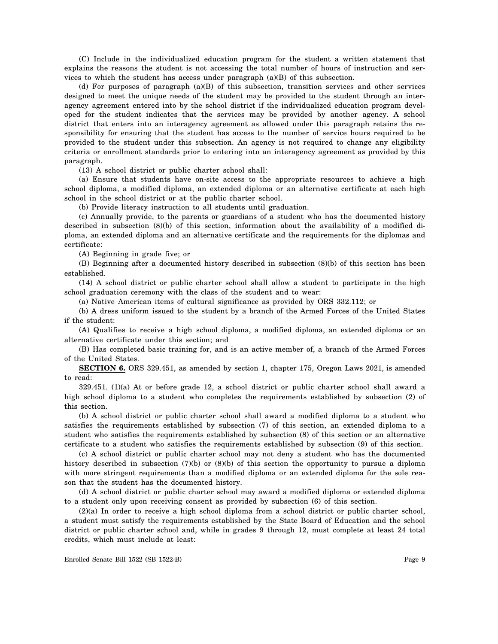(C) Include in the individualized education program for the student a written statement that explains the reasons the student is not accessing the total number of hours of instruction and services to which the student has access under paragraph (a)(B) of this subsection.

(d) For purposes of paragraph (a)(B) of this subsection, transition services and other services designed to meet the unique needs of the student may be provided to the student through an interagency agreement entered into by the school district if the individualized education program developed for the student indicates that the services may be provided by another agency. A school district that enters into an interagency agreement as allowed under this paragraph retains the responsibility for ensuring that the student has access to the number of service hours required to be provided to the student under this subsection. An agency is not required to change any eligibility criteria or enrollment standards prior to entering into an interagency agreement as provided by this paragraph.

(13) A school district or public charter school shall:

(a) Ensure that students have on-site access to the appropriate resources to achieve a high school diploma, a modified diploma, an extended diploma or an alternative certificate at each high school in the school district or at the public charter school.

(b) Provide literacy instruction to all students until graduation.

(c) Annually provide, to the parents or guardians of a student who has the documented history described in subsection (8)(b) of this section, information about the availability of a modified diploma, an extended diploma and an alternative certificate and the requirements for the diplomas and certificate:

(A) Beginning in grade five; or

(B) Beginning after a documented history described in subsection (8)(b) of this section has been established.

(14) A school district or public charter school shall allow a student to participate in the high school graduation ceremony with the class of the student and to wear:

(a) Native American items of cultural significance as provided by ORS 332.112; or

(b) A dress uniform issued to the student by a branch of the Armed Forces of the United States if the student:

(A) Qualifies to receive a high school diploma, a modified diploma, an extended diploma or an alternative certificate under this section; and

(B) Has completed basic training for, and is an active member of, a branch of the Armed Forces of the United States.

**SECTION 6.** ORS 329.451, as amended by section 1, chapter 175, Oregon Laws 2021, is amended to read:

329.451. (1)(a) At or before grade 12, a school district or public charter school shall award a high school diploma to a student who completes the requirements established by subsection (2) of this section.

(b) A school district or public charter school shall award a modified diploma to a student who satisfies the requirements established by subsection (7) of this section, an extended diploma to a student who satisfies the requirements established by subsection (8) of this section or an alternative certificate to a student who satisfies the requirements established by subsection (9) of this section.

(c) A school district or public charter school may not deny a student who has the documented history described in subsection (7)(b) or (8)(b) of this section the opportunity to pursue a diploma with more stringent requirements than a modified diploma or an extended diploma for the sole reason that the student has the documented history.

(d) A school district or public charter school may award a modified diploma or extended diploma to a student only upon receiving consent as provided by subsection (6) of this section.

(2)(a) In order to receive a high school diploma from a school district or public charter school, a student must satisfy the requirements established by the State Board of Education and the school district or public charter school and, while in grades 9 through 12, must complete at least 24 total credits, which must include at least: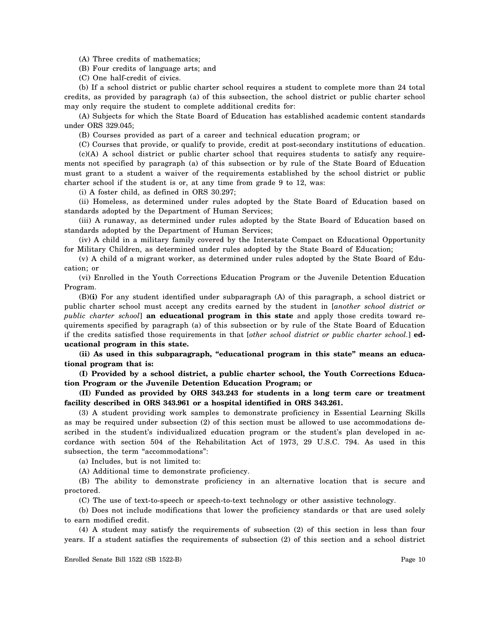(A) Three credits of mathematics;

(B) Four credits of language arts; and

(C) One half-credit of civics.

(b) If a school district or public charter school requires a student to complete more than 24 total credits, as provided by paragraph (a) of this subsection, the school district or public charter school may only require the student to complete additional credits for:

(A) Subjects for which the State Board of Education has established academic content standards under ORS 329.045;

(B) Courses provided as part of a career and technical education program; or

(C) Courses that provide, or qualify to provide, credit at post-secondary institutions of education. (c)(A) A school district or public charter school that requires students to satisfy any require-

ments not specified by paragraph (a) of this subsection or by rule of the State Board of Education must grant to a student a waiver of the requirements established by the school district or public charter school if the student is or, at any time from grade 9 to 12, was:

(i) A foster child, as defined in ORS 30.297;

(ii) Homeless, as determined under rules adopted by the State Board of Education based on standards adopted by the Department of Human Services;

(iii) A runaway, as determined under rules adopted by the State Board of Education based on standards adopted by the Department of Human Services;

(iv) A child in a military family covered by the Interstate Compact on Educational Opportunity for Military Children, as determined under rules adopted by the State Board of Education;

(v) A child of a migrant worker, as determined under rules adopted by the State Board of Education; or

(vi) Enrolled in the Youth Corrections Education Program or the Juvenile Detention Education Program.

(B)**(i)** For any student identified under subparagraph (A) of this paragraph, a school district or public charter school must accept any credits earned by the student in [*another school district or public charter school*] **an educational program in this state** and apply those credits toward requirements specified by paragraph (a) of this subsection or by rule of the State Board of Education if the credits satisfied those requirements in that [*other school district or public charter school.*] **educational program in this state.**

**(ii) As used in this subparagraph, "educational program in this state" means an educational program that is:**

**(I) Provided by a school district, a public charter school, the Youth Corrections Education Program or the Juvenile Detention Education Program; or**

**(II) Funded as provided by ORS 343.243 for students in a long term care or treatment facility described in ORS 343.961 or a hospital identified in ORS 343.261.**

(3) A student providing work samples to demonstrate proficiency in Essential Learning Skills as may be required under subsection (2) of this section must be allowed to use accommodations described in the student's individualized education program or the student's plan developed in accordance with section 504 of the Rehabilitation Act of 1973, 29 U.S.C. 794. As used in this subsection, the term "accommodations":

(a) Includes, but is not limited to:

(A) Additional time to demonstrate proficiency.

(B) The ability to demonstrate proficiency in an alternative location that is secure and proctored.

(C) The use of text-to-speech or speech-to-text technology or other assistive technology.

(b) Does not include modifications that lower the proficiency standards or that are used solely to earn modified credit.

(4) A student may satisfy the requirements of subsection (2) of this section in less than four years. If a student satisfies the requirements of subsection (2) of this section and a school district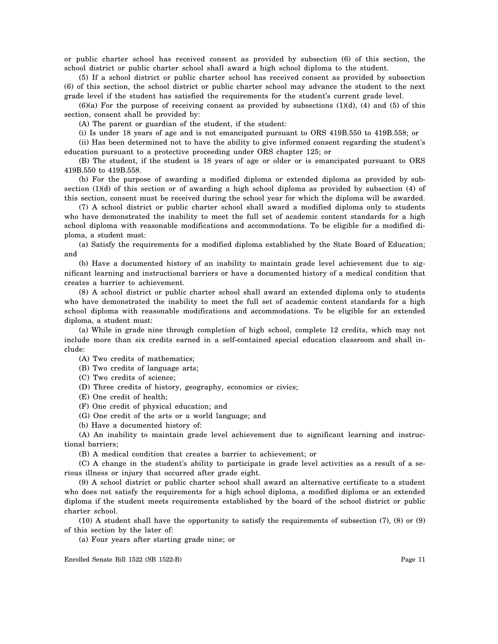or public charter school has received consent as provided by subsection (6) of this section, the school district or public charter school shall award a high school diploma to the student.

(5) If a school district or public charter school has received consent as provided by subsection (6) of this section, the school district or public charter school may advance the student to the next grade level if the student has satisfied the requirements for the student's current grade level.

 $(6)(a)$  For the purpose of receiving consent as provided by subsections  $(1)(d)$ ,  $(4)$  and  $(5)$  of this section, consent shall be provided by:

(A) The parent or guardian of the student, if the student:

(i) Is under 18 years of age and is not emancipated pursuant to ORS 419B.550 to 419B.558; or

(ii) Has been determined not to have the ability to give informed consent regarding the student's education pursuant to a protective proceeding under ORS chapter 125; or

(B) The student, if the student is 18 years of age or older or is emancipated pursuant to ORS 419B.550 to 419B.558.

(b) For the purpose of awarding a modified diploma or extended diploma as provided by subsection (1)(d) of this section or of awarding a high school diploma as provided by subsection (4) of this section, consent must be received during the school year for which the diploma will be awarded.

(7) A school district or public charter school shall award a modified diploma only to students who have demonstrated the inability to meet the full set of academic content standards for a high school diploma with reasonable modifications and accommodations. To be eligible for a modified diploma, a student must:

(a) Satisfy the requirements for a modified diploma established by the State Board of Education; and

(b) Have a documented history of an inability to maintain grade level achievement due to significant learning and instructional barriers or have a documented history of a medical condition that creates a barrier to achievement.

(8) A school district or public charter school shall award an extended diploma only to students who have demonstrated the inability to meet the full set of academic content standards for a high school diploma with reasonable modifications and accommodations. To be eligible for an extended diploma, a student must:

(a) While in grade nine through completion of high school, complete 12 credits, which may not include more than six credits earned in a self-contained special education classroom and shall include:

(A) Two credits of mathematics;

(B) Two credits of language arts;

(C) Two credits of science;

(D) Three credits of history, geography, economics or civics;

(E) One credit of health;

(F) One credit of physical education; and

(G) One credit of the arts or a world language; and

(b) Have a documented history of:

(A) An inability to maintain grade level achievement due to significant learning and instructional barriers;

(B) A medical condition that creates a barrier to achievement; or

(C) A change in the student's ability to participate in grade level activities as a result of a serious illness or injury that occurred after grade eight.

(9) A school district or public charter school shall award an alternative certificate to a student who does not satisfy the requirements for a high school diploma, a modified diploma or an extended diploma if the student meets requirements established by the board of the school district or public charter school.

(10) A student shall have the opportunity to satisfy the requirements of subsection (7), (8) or (9) of this section by the later of:

(a) Four years after starting grade nine; or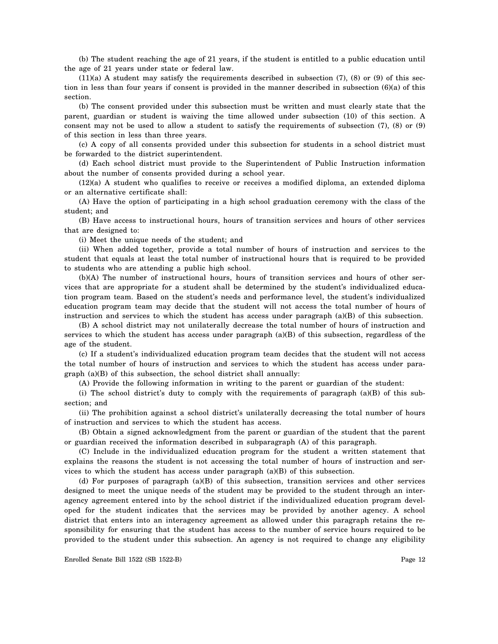(b) The student reaching the age of 21 years, if the student is entitled to a public education until the age of 21 years under state or federal law.

 $(11)(a)$  A student may satisfy the requirements described in subsection (7), (8) or (9) of this section in less than four years if consent is provided in the manner described in subsection (6)(a) of this section.

(b) The consent provided under this subsection must be written and must clearly state that the parent, guardian or student is waiving the time allowed under subsection (10) of this section. A consent may not be used to allow a student to satisfy the requirements of subsection (7), (8) or (9) of this section in less than three years.

(c) A copy of all consents provided under this subsection for students in a school district must be forwarded to the district superintendent.

(d) Each school district must provide to the Superintendent of Public Instruction information about the number of consents provided during a school year.

(12)(a) A student who qualifies to receive or receives a modified diploma, an extended diploma or an alternative certificate shall:

(A) Have the option of participating in a high school graduation ceremony with the class of the student; and

(B) Have access to instructional hours, hours of transition services and hours of other services that are designed to:

(i) Meet the unique needs of the student; and

(ii) When added together, provide a total number of hours of instruction and services to the student that equals at least the total number of instructional hours that is required to be provided to students who are attending a public high school.

(b)(A) The number of instructional hours, hours of transition services and hours of other services that are appropriate for a student shall be determined by the student's individualized education program team. Based on the student's needs and performance level, the student's individualized education program team may decide that the student will not access the total number of hours of instruction and services to which the student has access under paragraph (a)(B) of this subsection.

(B) A school district may not unilaterally decrease the total number of hours of instruction and services to which the student has access under paragraph (a)(B) of this subsection, regardless of the age of the student.

(c) If a student's individualized education program team decides that the student will not access the total number of hours of instruction and services to which the student has access under paragraph (a)(B) of this subsection, the school district shall annually:

(A) Provide the following information in writing to the parent or guardian of the student:

(i) The school district's duty to comply with the requirements of paragraph (a)(B) of this subsection; and

(ii) The prohibition against a school district's unilaterally decreasing the total number of hours of instruction and services to which the student has access.

(B) Obtain a signed acknowledgment from the parent or guardian of the student that the parent or guardian received the information described in subparagraph (A) of this paragraph.

(C) Include in the individualized education program for the student a written statement that explains the reasons the student is not accessing the total number of hours of instruction and services to which the student has access under paragraph (a)(B) of this subsection.

(d) For purposes of paragraph (a)(B) of this subsection, transition services and other services designed to meet the unique needs of the student may be provided to the student through an interagency agreement entered into by the school district if the individualized education program developed for the student indicates that the services may be provided by another agency. A school district that enters into an interagency agreement as allowed under this paragraph retains the responsibility for ensuring that the student has access to the number of service hours required to be provided to the student under this subsection. An agency is not required to change any eligibility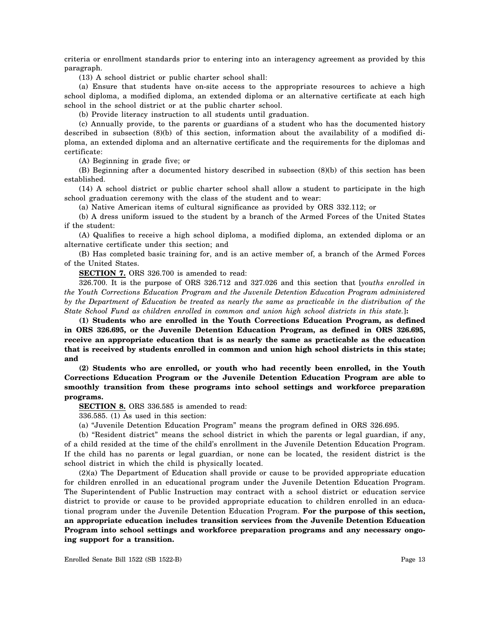criteria or enrollment standards prior to entering into an interagency agreement as provided by this paragraph.

(13) A school district or public charter school shall:

(a) Ensure that students have on-site access to the appropriate resources to achieve a high school diploma, a modified diploma, an extended diploma or an alternative certificate at each high school in the school district or at the public charter school.

(b) Provide literacy instruction to all students until graduation.

(c) Annually provide, to the parents or guardians of a student who has the documented history described in subsection (8)(b) of this section, information about the availability of a modified diploma, an extended diploma and an alternative certificate and the requirements for the diplomas and certificate:

(A) Beginning in grade five; or

(B) Beginning after a documented history described in subsection (8)(b) of this section has been established.

(14) A school district or public charter school shall allow a student to participate in the high school graduation ceremony with the class of the student and to wear:

(a) Native American items of cultural significance as provided by ORS 332.112; or

(b) A dress uniform issued to the student by a branch of the Armed Forces of the United States if the student:

(A) Qualifies to receive a high school diploma, a modified diploma, an extended diploma or an alternative certificate under this section; and

(B) Has completed basic training for, and is an active member of, a branch of the Armed Forces of the United States.

**SECTION 7.** ORS 326.700 is amended to read:

326.700. It is the purpose of ORS 326.712 and 327.026 and this section that [*youths enrolled in the Youth Corrections Education Program and the Juvenile Detention Education Program administered by the Department of Education be treated as nearly the same as practicable in the distribution of the State School Fund as children enrolled in common and union high school districts in this state.*]**:**

**(1) Students who are enrolled in the Youth Corrections Education Program, as defined in ORS 326.695, or the Juvenile Detention Education Program, as defined in ORS 326.695, receive an appropriate education that is as nearly the same as practicable as the education that is received by students enrolled in common and union high school districts in this state; and**

**(2) Students who are enrolled, or youth who had recently been enrolled, in the Youth Corrections Education Program or the Juvenile Detention Education Program are able to smoothly transition from these programs into school settings and workforce preparation programs.**

**SECTION 8.** ORS 336.585 is amended to read:

336.585. (1) As used in this section:

(a) "Juvenile Detention Education Program" means the program defined in ORS 326.695.

(b) "Resident district" means the school district in which the parents or legal guardian, if any, of a child resided at the time of the child's enrollment in the Juvenile Detention Education Program. If the child has no parents or legal guardian, or none can be located, the resident district is the school district in which the child is physically located.

(2)(a) The Department of Education shall provide or cause to be provided appropriate education for children enrolled in an educational program under the Juvenile Detention Education Program. The Superintendent of Public Instruction may contract with a school district or education service district to provide or cause to be provided appropriate education to children enrolled in an educational program under the Juvenile Detention Education Program. **For the purpose of this section, an appropriate education includes transition services from the Juvenile Detention Education Program into school settings and workforce preparation programs and any necessary ongoing support for a transition.**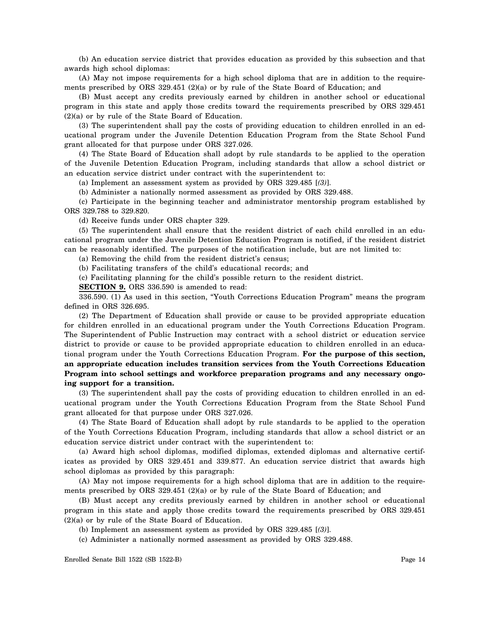(b) An education service district that provides education as provided by this subsection and that awards high school diplomas:

(A) May not impose requirements for a high school diploma that are in addition to the requirements prescribed by ORS 329.451 (2)(a) or by rule of the State Board of Education; and

(B) Must accept any credits previously earned by children in another school or educational program in this state and apply those credits toward the requirements prescribed by ORS 329.451 (2)(a) or by rule of the State Board of Education.

(3) The superintendent shall pay the costs of providing education to children enrolled in an educational program under the Juvenile Detention Education Program from the State School Fund grant allocated for that purpose under ORS 327.026.

(4) The State Board of Education shall adopt by rule standards to be applied to the operation of the Juvenile Detention Education Program, including standards that allow a school district or an education service district under contract with the superintendent to:

(a) Implement an assessment system as provided by ORS 329.485 [*(3)*].

(b) Administer a nationally normed assessment as provided by ORS 329.488.

(c) Participate in the beginning teacher and administrator mentorship program established by ORS 329.788 to 329.820.

(d) Receive funds under ORS chapter 329.

(5) The superintendent shall ensure that the resident district of each child enrolled in an educational program under the Juvenile Detention Education Program is notified, if the resident district can be reasonably identified. The purposes of the notification include, but are not limited to:

(a) Removing the child from the resident district's census;

(b) Facilitating transfers of the child's educational records; and

(c) Facilitating planning for the child's possible return to the resident district.

**SECTION 9.** ORS 336.590 is amended to read:

336.590. (1) As used in this section, "Youth Corrections Education Program" means the program defined in ORS 326.695.

(2) The Department of Education shall provide or cause to be provided appropriate education for children enrolled in an educational program under the Youth Corrections Education Program. The Superintendent of Public Instruction may contract with a school district or education service district to provide or cause to be provided appropriate education to children enrolled in an educational program under the Youth Corrections Education Program. **For the purpose of this section, an appropriate education includes transition services from the Youth Corrections Education Program into school settings and workforce preparation programs and any necessary ongoing support for a transition.**

(3) The superintendent shall pay the costs of providing education to children enrolled in an educational program under the Youth Corrections Education Program from the State School Fund grant allocated for that purpose under ORS 327.026.

(4) The State Board of Education shall adopt by rule standards to be applied to the operation of the Youth Corrections Education Program, including standards that allow a school district or an education service district under contract with the superintendent to:

(a) Award high school diplomas, modified diplomas, extended diplomas and alternative certificates as provided by ORS 329.451 and 339.877. An education service district that awards high school diplomas as provided by this paragraph:

(A) May not impose requirements for a high school diploma that are in addition to the requirements prescribed by ORS 329.451 (2)(a) or by rule of the State Board of Education; and

(B) Must accept any credits previously earned by children in another school or educational program in this state and apply those credits toward the requirements prescribed by ORS 329.451 (2)(a) or by rule of the State Board of Education.

- (b) Implement an assessment system as provided by ORS 329.485 [*(3)*].
- (c) Administer a nationally normed assessment as provided by ORS 329.488.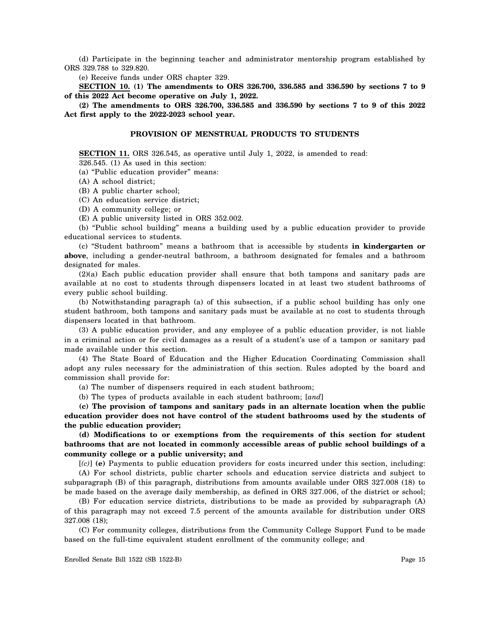(d) Participate in the beginning teacher and administrator mentorship program established by ORS 329.788 to 329.820.

(e) Receive funds under ORS chapter 329.

**SECTION 10. (1) The amendments to ORS 326.700, 336.585 and 336.590 by sections 7 to 9 of this 2022 Act become operative on July 1, 2022.**

**(2) The amendments to ORS 326.700, 336.585 and 336.590 by sections 7 to 9 of this 2022 Act first apply to the 2022-2023 school year.**

# **PROVISION OF MENSTRUAL PRODUCTS TO STUDENTS**

**SECTION 11.** ORS 326.545, as operative until July 1, 2022, is amended to read:

326.545. (1) As used in this section: (a) "Public education provider" means:

(A) A school district;

(B) A public charter school;

(C) An education service district;

(D) A community college; or

(E) A public university listed in ORS 352.002.

(b) "Public school building" means a building used by a public education provider to provide educational services to students.

(c) "Student bathroom" means a bathroom that is accessible by students **in kindergarten or above**, including a gender-neutral bathroom, a bathroom designated for females and a bathroom designated for males.

(2)(a) Each public education provider shall ensure that both tampons and sanitary pads are available at no cost to students through dispensers located in at least two student bathrooms of every public school building.

(b) Notwithstanding paragraph (a) of this subsection, if a public school building has only one student bathroom, both tampons and sanitary pads must be available at no cost to students through dispensers located in that bathroom.

(3) A public education provider, and any employee of a public education provider, is not liable in a criminal action or for civil damages as a result of a student's use of a tampon or sanitary pad made available under this section.

(4) The State Board of Education and the Higher Education Coordinating Commission shall adopt any rules necessary for the administration of this section. Rules adopted by the board and commission shall provide for:

(a) The number of dispensers required in each student bathroom;

(b) The types of products available in each student bathroom; [*and*]

**(c) The provision of tampons and sanitary pads in an alternate location when the public education provider does not have control of the student bathrooms used by the students of the public education provider;**

**(d) Modifications to or exemptions from the requirements of this section for student bathrooms that are not located in commonly accessible areas of public school buildings of a community college or a public university; and**

[*(c)*] **(e)** Payments to public education providers for costs incurred under this section, including:

(A) For school districts, public charter schools and education service districts and subject to subparagraph (B) of this paragraph, distributions from amounts available under ORS 327.008 (18) to be made based on the average daily membership, as defined in ORS 327.006, of the district or school;

(B) For education service districts, distributions to be made as provided by subparagraph (A) of this paragraph may not exceed 7.5 percent of the amounts available for distribution under ORS 327.008 (18);

(C) For community colleges, distributions from the Community College Support Fund to be made based on the full-time equivalent student enrollment of the community college; and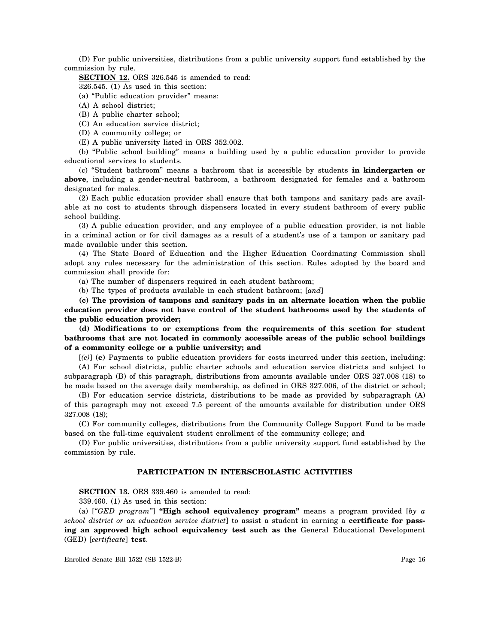(D) For public universities, distributions from a public university support fund established by the commission by rule.

**SECTION 12.** ORS 326.545 is amended to read:

326.545. (1) As used in this section:

(a) "Public education provider" means:

(A) A school district;

(B) A public charter school;

(C) An education service district;

(D) A community college; or

(E) A public university listed in ORS 352.002.

(b) "Public school building" means a building used by a public education provider to provide educational services to students.

(c) "Student bathroom" means a bathroom that is accessible by students **in kindergarten or above**, including a gender-neutral bathroom, a bathroom designated for females and a bathroom designated for males.

(2) Each public education provider shall ensure that both tampons and sanitary pads are available at no cost to students through dispensers located in every student bathroom of every public school building.

(3) A public education provider, and any employee of a public education provider, is not liable in a criminal action or for civil damages as a result of a student's use of a tampon or sanitary pad made available under this section.

(4) The State Board of Education and the Higher Education Coordinating Commission shall adopt any rules necessary for the administration of this section. Rules adopted by the board and commission shall provide for:

(a) The number of dispensers required in each student bathroom;

(b) The types of products available in each student bathroom; [*and*]

**(c) The provision of tampons and sanitary pads in an alternate location when the public education provider does not have control of the student bathrooms used by the students of the public education provider;**

**(d) Modifications to or exemptions from the requirements of this section for student bathrooms that are not located in commonly accessible areas of the public school buildings of a community college or a public university; and**

[*(c)*] **(e)** Payments to public education providers for costs incurred under this section, including:

(A) For school districts, public charter schools and education service districts and subject to subparagraph (B) of this paragraph, distributions from amounts available under ORS 327.008 (18) to be made based on the average daily membership, as defined in ORS 327.006, of the district or school;

(B) For education service districts, distributions to be made as provided by subparagraph (A) of this paragraph may not exceed 7.5 percent of the amounts available for distribution under ORS 327.008 (18);

(C) For community colleges, distributions from the Community College Support Fund to be made based on the full-time equivalent student enrollment of the community college; and

(D) For public universities, distributions from a public university support fund established by the commission by rule.

#### **PARTICIPATION IN INTERSCHOLASTIC ACTIVITIES**

**SECTION 13.** ORS 339.460 is amended to read:

339.460. (1) As used in this section:

(a) [*"GED program"*] **"High school equivalency program"** means a program provided [*by a school district or an education service district*] to assist a student in earning a **certificate for passing an approved high school equivalency test such as the** General Educational Development (GED) [*certificate*] **test**.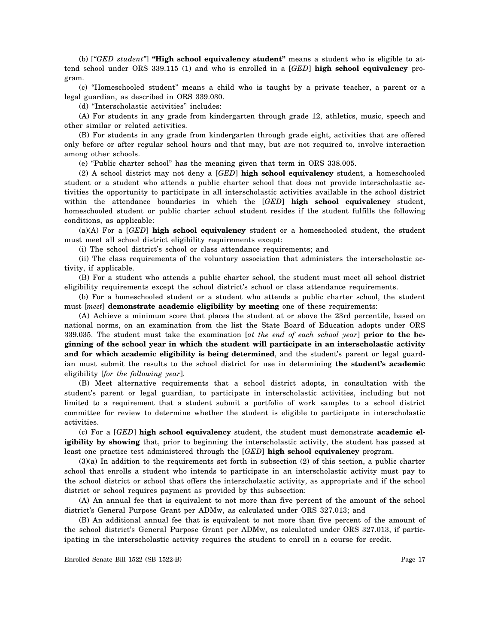(b) [*"GED student"*] **"High school equivalency student"** means a student who is eligible to attend school under ORS 339.115 (1) and who is enrolled in a [*GED*] **high school equivalency** program.

(c) "Homeschooled student" means a child who is taught by a private teacher, a parent or a legal guardian, as described in ORS 339.030.

(d) "Interscholastic activities" includes:

(A) For students in any grade from kindergarten through grade 12, athletics, music, speech and other similar or related activities.

(B) For students in any grade from kindergarten through grade eight, activities that are offered only before or after regular school hours and that may, but are not required to, involve interaction among other schools.

(e) "Public charter school" has the meaning given that term in ORS 338.005.

(2) A school district may not deny a [*GED*] **high school equivalency** student, a homeschooled student or a student who attends a public charter school that does not provide interscholastic activities the opportunity to participate in all interscholastic activities available in the school district within the attendance boundaries in which the [*GED*] **high school equivalency** student, homeschooled student or public charter school student resides if the student fulfills the following conditions, as applicable:

(a)(A) For a [*GED*] **high school equivalency** student or a homeschooled student, the student must meet all school district eligibility requirements except:

(i) The school district's school or class attendance requirements; and

(ii) The class requirements of the voluntary association that administers the interscholastic activity, if applicable.

(B) For a student who attends a public charter school, the student must meet all school district eligibility requirements except the school district's school or class attendance requirements.

(b) For a homeschooled student or a student who attends a public charter school, the student must [*meet*] **demonstrate academic eligibility by meeting** one of these requirements:

(A) Achieve a minimum score that places the student at or above the 23rd percentile, based on national norms, on an examination from the list the State Board of Education adopts under ORS 339.035. The student must take the examination [*at the end of each school year*] **prior to the beginning of the school year in which the student will participate in an interscholastic activity and for which academic eligibility is being determined**, and the student's parent or legal guardian must submit the results to the school district for use in determining **the student's academic** eligibility [*for the following year*].

(B) Meet alternative requirements that a school district adopts, in consultation with the student's parent or legal guardian, to participate in interscholastic activities, including but not limited to a requirement that a student submit a portfolio of work samples to a school district committee for review to determine whether the student is eligible to participate in interscholastic activities.

(c) For a [*GED*] **high school equivalency** student, the student must demonstrate **academic eligibility by showing** that, prior to beginning the interscholastic activity, the student has passed at least one practice test administered through the [*GED*] **high school equivalency** program.

(3)(a) In addition to the requirements set forth in subsection (2) of this section, a public charter school that enrolls a student who intends to participate in an interscholastic activity must pay to the school district or school that offers the interscholastic activity, as appropriate and if the school district or school requires payment as provided by this subsection:

(A) An annual fee that is equivalent to not more than five percent of the amount of the school district's General Purpose Grant per ADMw, as calculated under ORS 327.013; and

(B) An additional annual fee that is equivalent to not more than five percent of the amount of the school district's General Purpose Grant per ADMw, as calculated under ORS 327.013, if participating in the interscholastic activity requires the student to enroll in a course for credit.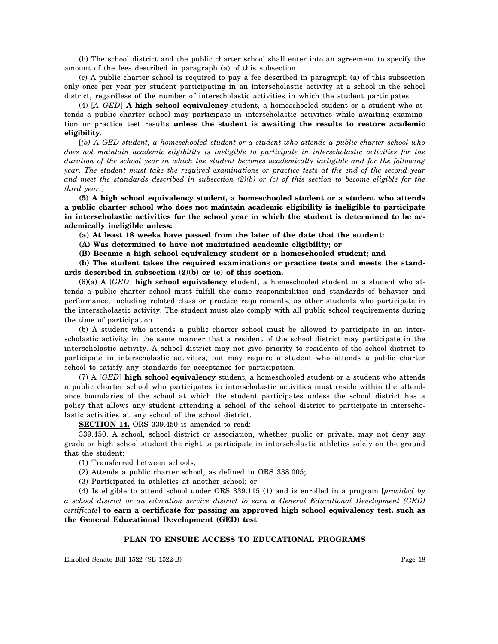(b) The school district and the public charter school shall enter into an agreement to specify the amount of the fees described in paragraph (a) of this subsection.

(c) A public charter school is required to pay a fee described in paragraph (a) of this subsection only once per year per student participating in an interscholastic activity at a school in the school district, regardless of the number of interscholastic activities in which the student participates.

(4) [*A GED*] **A high school equivalency** student, a homeschooled student or a student who attends a public charter school may participate in interscholastic activities while awaiting examination or practice test results **unless the student is awaiting the results to restore academic eligibility**.

[*(5) A GED student, a homeschooled student or a student who attends a public charter school who does not maintain academic eligibility is ineligible to participate in interscholastic activities for the duration of the school year in which the student becomes academically ineligible and for the following year. The student must take the required examinations or practice tests at the end of the second year and meet the standards described in subsection (2)(b) or (c) of this section to become eligible for the third year.*]

**(5) A high school equivalency student, a homeschooled student or a student who attends a public charter school who does not maintain academic eligibility is ineligible to participate in interscholastic activities for the school year in which the student is determined to be academically ineligible unless:**

**(a) At least 18 weeks have passed from the later of the date that the student:**

**(A) Was determined to have not maintained academic eligibility; or**

**(B) Became a high school equivalency student or a homeschooled student; and**

**(b) The student takes the required examinations or practice tests and meets the standards described in subsection (2)(b) or (c) of this section.**

(6)(a) A [*GED*] **high school equivalency** student, a homeschooled student or a student who attends a public charter school must fulfill the same responsibilities and standards of behavior and performance, including related class or practice requirements, as other students who participate in the interscholastic activity. The student must also comply with all public school requirements during the time of participation.

(b) A student who attends a public charter school must be allowed to participate in an interscholastic activity in the same manner that a resident of the school district may participate in the interscholastic activity. A school district may not give priority to residents of the school district to participate in interscholastic activities, but may require a student who attends a public charter school to satisfy any standards for acceptance for participation.

(7) A [*GED*] **high school equivalency** student, a homeschooled student or a student who attends a public charter school who participates in interscholastic activities must reside within the attendance boundaries of the school at which the student participates unless the school district has a policy that allows any student attending a school of the school district to participate in interscholastic activities at any school of the school district.

**SECTION 14.** ORS 339.450 is amended to read:

339.450. A school, school district or association, whether public or private, may not deny any grade or high school student the right to participate in interscholastic athletics solely on the ground that the student:

(1) Transferred between schools;

(2) Attends a public charter school, as defined in ORS 338.005;

(3) Participated in athletics at another school; or

(4) Is eligible to attend school under ORS 339.115 (1) and is enrolled in a program [*provided by a school district or an education service district to earn a General Educational Development (GED) certificate*] **to earn a certificate for passing an approved high school equivalency test, such as the General Educational Development (GED) test**.

## **PLAN TO ENSURE ACCESS TO EDUCATIONAL PROGRAMS**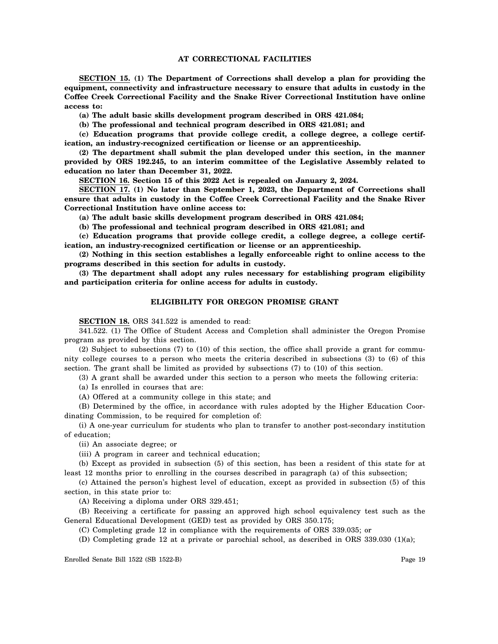## **AT CORRECTIONAL FACILITIES**

**SECTION 15. (1) The Department of Corrections shall develop a plan for providing the equipment, connectivity and infrastructure necessary to ensure that adults in custody in the Coffee Creek Correctional Facility and the Snake River Correctional Institution have online access to:**

**(a) The adult basic skills development program described in ORS 421.084;**

**(b) The professional and technical program described in ORS 421.081; and**

**(c) Education programs that provide college credit, a college degree, a college certification, an industry-recognized certification or license or an apprenticeship.**

**(2) The department shall submit the plan developed under this section, in the manner provided by ORS 192.245, to an interim committee of the Legislative Assembly related to education no later than December 31, 2022.**

**SECTION 16. Section 15 of this 2022 Act is repealed on January 2, 2024.**

**SECTION 17. (1) No later than September 1, 2023, the Department of Corrections shall ensure that adults in custody in the Coffee Creek Correctional Facility and the Snake River Correctional Institution have online access to:**

**(a) The adult basic skills development program described in ORS 421.084;**

**(b) The professional and technical program described in ORS 421.081; and**

**(c) Education programs that provide college credit, a college degree, a college certification, an industry-recognized certification or license or an apprenticeship.**

**(2) Nothing in this section establishes a legally enforceable right to online access to the programs described in this section for adults in custody.**

**(3) The department shall adopt any rules necessary for establishing program eligibility and participation criteria for online access for adults in custody.**

## **ELIGIBILITY FOR OREGON PROMISE GRANT**

**SECTION 18.** ORS 341.522 is amended to read:

341.522. (1) The Office of Student Access and Completion shall administer the Oregon Promise program as provided by this section.

(2) Subject to subsections (7) to (10) of this section, the office shall provide a grant for community college courses to a person who meets the criteria described in subsections (3) to (6) of this section. The grant shall be limited as provided by subsections (7) to (10) of this section.

(3) A grant shall be awarded under this section to a person who meets the following criteria:

(a) Is enrolled in courses that are:

(A) Offered at a community college in this state; and

(B) Determined by the office, in accordance with rules adopted by the Higher Education Coordinating Commission, to be required for completion of:

(i) A one-year curriculum for students who plan to transfer to another post-secondary institution of education;

(ii) An associate degree; or

(iii) A program in career and technical education;

(b) Except as provided in subsection (5) of this section, has been a resident of this state for at least 12 months prior to enrolling in the courses described in paragraph (a) of this subsection;

(c) Attained the person's highest level of education, except as provided in subsection (5) of this section, in this state prior to:

(A) Receiving a diploma under ORS 329.451;

(B) Receiving a certificate for passing an approved high school equivalency test such as the General Educational Development (GED) test as provided by ORS 350.175;

(C) Completing grade 12 in compliance with the requirements of ORS 339.035; or

(D) Completing grade 12 at a private or parochial school, as described in ORS 339.030 (1)(a);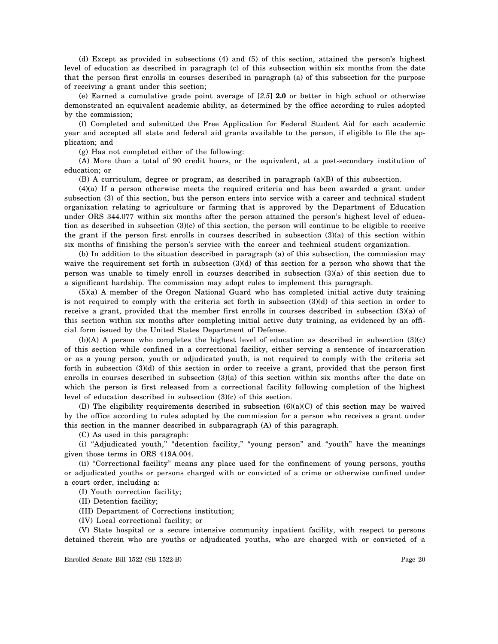(d) Except as provided in subsections (4) and (5) of this section, attained the person's highest level of education as described in paragraph (c) of this subsection within six months from the date that the person first enrolls in courses described in paragraph (a) of this subsection for the purpose of receiving a grant under this section;

(e) Earned a cumulative grade point average of [*2.5*] **2.0** or better in high school or otherwise demonstrated an equivalent academic ability, as determined by the office according to rules adopted by the commission;

(f) Completed and submitted the Free Application for Federal Student Aid for each academic year and accepted all state and federal aid grants available to the person, if eligible to file the application; and

(g) Has not completed either of the following:

(A) More than a total of 90 credit hours, or the equivalent, at a post-secondary institution of education; or

(B) A curriculum, degree or program, as described in paragraph (a)(B) of this subsection.

(4)(a) If a person otherwise meets the required criteria and has been awarded a grant under subsection (3) of this section, but the person enters into service with a career and technical student organization relating to agriculture or farming that is approved by the Department of Education under ORS 344.077 within six months after the person attained the person's highest level of education as described in subsection (3)(c) of this section, the person will continue to be eligible to receive the grant if the person first enrolls in courses described in subsection (3)(a) of this section within six months of finishing the person's service with the career and technical student organization.

(b) In addition to the situation described in paragraph (a) of this subsection, the commission may waive the requirement set forth in subsection (3)(d) of this section for a person who shows that the person was unable to timely enroll in courses described in subsection (3)(a) of this section due to a significant hardship. The commission may adopt rules to implement this paragraph.

(5)(a) A member of the Oregon National Guard who has completed initial active duty training is not required to comply with the criteria set forth in subsection (3)(d) of this section in order to receive a grant, provided that the member first enrolls in courses described in subsection (3)(a) of this section within six months after completing initial active duty training, as evidenced by an official form issued by the United States Department of Defense.

(b)(A) A person who completes the highest level of education as described in subsection (3)(c) of this section while confined in a correctional facility, either serving a sentence of incarceration or as a young person, youth or adjudicated youth, is not required to comply with the criteria set forth in subsection (3)(d) of this section in order to receive a grant, provided that the person first enrolls in courses described in subsection (3)(a) of this section within six months after the date on which the person is first released from a correctional facility following completion of the highest level of education described in subsection (3)(c) of this section.

(B) The eligibility requirements described in subsection  $(6)(a)(C)$  of this section may be waived by the office according to rules adopted by the commission for a person who receives a grant under this section in the manner described in subparagraph (A) of this paragraph.

(C) As used in this paragraph:

(i) "Adjudicated youth," "detention facility," "young person" and "youth" have the meanings given those terms in ORS 419A.004.

(ii) "Correctional facility" means any place used for the confinement of young persons, youths or adjudicated youths or persons charged with or convicted of a crime or otherwise confined under a court order, including a:

(I) Youth correction facility;

(II) Detention facility;

(III) Department of Corrections institution;

(IV) Local correctional facility; or

(V) State hospital or a secure intensive community inpatient facility, with respect to persons detained therein who are youths or adjudicated youths, who are charged with or convicted of a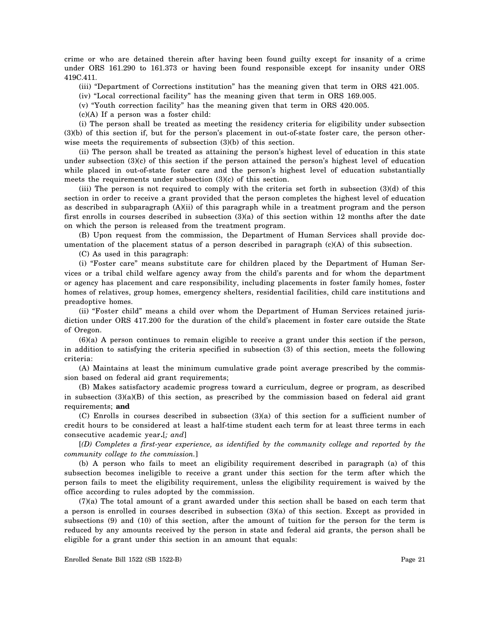crime or who are detained therein after having been found guilty except for insanity of a crime under ORS 161.290 to 161.373 or having been found responsible except for insanity under ORS 419C.411.

(iii) "Department of Corrections institution" has the meaning given that term in ORS 421.005.

(iv) "Local correctional facility" has the meaning given that term in ORS 169.005.

(v) "Youth correction facility" has the meaning given that term in ORS 420.005.

(c)(A) If a person was a foster child:

(i) The person shall be treated as meeting the residency criteria for eligibility under subsection (3)(b) of this section if, but for the person's placement in out-of-state foster care, the person otherwise meets the requirements of subsection (3)(b) of this section.

(ii) The person shall be treated as attaining the person's highest level of education in this state under subsection (3)(c) of this section if the person attained the person's highest level of education while placed in out-of-state foster care and the person's highest level of education substantially meets the requirements under subsection (3)(c) of this section.

(iii) The person is not required to comply with the criteria set forth in subsection (3)(d) of this section in order to receive a grant provided that the person completes the highest level of education as described in subparagraph (A)(ii) of this paragraph while in a treatment program and the person first enrolls in courses described in subsection (3)(a) of this section within 12 months after the date on which the person is released from the treatment program.

(B) Upon request from the commission, the Department of Human Services shall provide documentation of the placement status of a person described in paragraph (c)(A) of this subsection.

(C) As used in this paragraph:

(i) "Foster care" means substitute care for children placed by the Department of Human Services or a tribal child welfare agency away from the child's parents and for whom the department or agency has placement and care responsibility, including placements in foster family homes, foster homes of relatives, group homes, emergency shelters, residential facilities, child care institutions and preadoptive homes.

(ii) "Foster child" means a child over whom the Department of Human Services retained jurisdiction under ORS 417.200 for the duration of the child's placement in foster care outside the State of Oregon.

(6)(a) A person continues to remain eligible to receive a grant under this section if the person, in addition to satisfying the criteria specified in subsection (3) of this section, meets the following criteria:

(A) Maintains at least the minimum cumulative grade point average prescribed by the commission based on federal aid grant requirements;

(B) Makes satisfactory academic progress toward a curriculum, degree or program, as described in subsection  $(3)(a)(B)$  of this section, as prescribed by the commission based on federal aid grant requirements; **and**

(C) Enrolls in courses described in subsection (3)(a) of this section for a sufficient number of credit hours to be considered at least a half-time student each term for at least three terms in each consecutive academic year**.**[*; and*]

[*(D) Completes a first-year experience, as identified by the community college and reported by the community college to the commission.*]

(b) A person who fails to meet an eligibility requirement described in paragraph (a) of this subsection becomes ineligible to receive a grant under this section for the term after which the person fails to meet the eligibility requirement, unless the eligibility requirement is waived by the office according to rules adopted by the commission.

(7)(a) The total amount of a grant awarded under this section shall be based on each term that a person is enrolled in courses described in subsection (3)(a) of this section. Except as provided in subsections (9) and (10) of this section, after the amount of tuition for the person for the term is reduced by any amounts received by the person in state and federal aid grants, the person shall be eligible for a grant under this section in an amount that equals: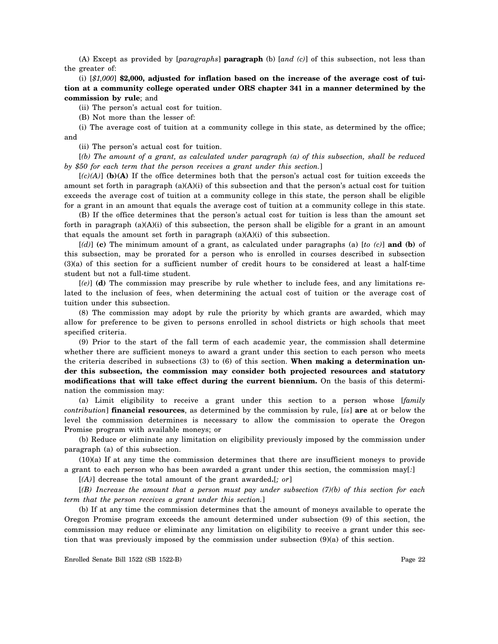(A) Except as provided by [*paragraphs*] **paragraph** (b) [*and (c)*] of this subsection, not less than the greater of:

(i) [*\$1,000*] **\$2,000, adjusted for inflation based on the increase of the average cost of tuition at a community college operated under ORS chapter 341 in a manner determined by the commission by rule**; and

(ii) The person's actual cost for tuition.

(B) Not more than the lesser of:

(i) The average cost of tuition at a community college in this state, as determined by the office; and

(ii) The person's actual cost for tuition.

[*(b) The amount of a grant, as calculated under paragraph (a) of this subsection, shall be reduced by \$50 for each term that the person receives a grant under this section.*]

 $[(c)(A)]$  (b)(A) If the office determines both that the person's actual cost for tuition exceeds the amount set forth in paragraph (a)(A)(i) of this subsection and that the person's actual cost for tuition exceeds the average cost of tuition at a community college in this state, the person shall be eligible for a grant in an amount that equals the average cost of tuition at a community college in this state.

(B) If the office determines that the person's actual cost for tuition is less than the amount set forth in paragraph  $(a)(A)(i)$  of this subsection, the person shall be eligible for a grant in an amount that equals the amount set forth in paragraph  $(a)(A)(i)$  of this subsection.

[*(d)*] **(c)** The minimum amount of a grant, as calculated under paragraphs (a) [*to (c)*] **and (b)** of this subsection, may be prorated for a person who is enrolled in courses described in subsection (3)(a) of this section for a sufficient number of credit hours to be considered at least a half-time student but not a full-time student.

[*(e)*] **(d)** The commission may prescribe by rule whether to include fees, and any limitations related to the inclusion of fees, when determining the actual cost of tuition or the average cost of tuition under this subsection.

(8) The commission may adopt by rule the priority by which grants are awarded, which may allow for preference to be given to persons enrolled in school districts or high schools that meet specified criteria.

(9) Prior to the start of the fall term of each academic year, the commission shall determine whether there are sufficient moneys to award a grant under this section to each person who meets the criteria described in subsections (3) to (6) of this section. **When making a determination under this subsection, the commission may consider both projected resources and statutory modifications that will take effect during the current biennium.** On the basis of this determination the commission may:

(a) Limit eligibility to receive a grant under this section to a person whose [*family contribution*] **financial resources**, as determined by the commission by rule, [*is*] **are** at or below the level the commission determines is necessary to allow the commission to operate the Oregon Promise program with available moneys; or

(b) Reduce or eliminate any limitation on eligibility previously imposed by the commission under paragraph (a) of this subsection.

(10)(a) If at any time the commission determines that there are insufficient moneys to provide a grant to each person who has been awarded a grant under this section, the commission may[*:*]

[*(A)*] decrease the total amount of the grant awarded**.**[*; or*]

[*(B) Increase the amount that a person must pay under subsection (7)(b) of this section for each term that the person receives a grant under this section.*]

(b) If at any time the commission determines that the amount of moneys available to operate the Oregon Promise program exceeds the amount determined under subsection (9) of this section, the commission may reduce or eliminate any limitation on eligibility to receive a grant under this section that was previously imposed by the commission under subsection (9)(a) of this section.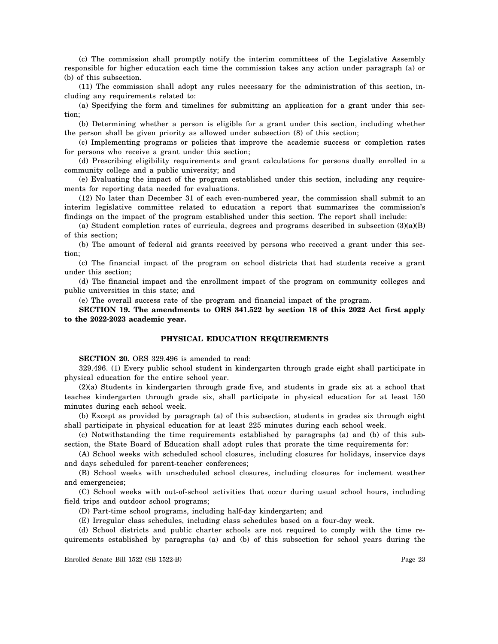(c) The commission shall promptly notify the interim committees of the Legislative Assembly responsible for higher education each time the commission takes any action under paragraph (a) or (b) of this subsection.

(11) The commission shall adopt any rules necessary for the administration of this section, including any requirements related to:

(a) Specifying the form and timelines for submitting an application for a grant under this section;

(b) Determining whether a person is eligible for a grant under this section, including whether the person shall be given priority as allowed under subsection (8) of this section;

(c) Implementing programs or policies that improve the academic success or completion rates for persons who receive a grant under this section;

(d) Prescribing eligibility requirements and grant calculations for persons dually enrolled in a community college and a public university; and

(e) Evaluating the impact of the program established under this section, including any requirements for reporting data needed for evaluations.

(12) No later than December 31 of each even-numbered year, the commission shall submit to an interim legislative committee related to education a report that summarizes the commission's findings on the impact of the program established under this section. The report shall include:

(a) Student completion rates of curricula, degrees and programs described in subsection  $(3)(a)(B)$ of this section;

(b) The amount of federal aid grants received by persons who received a grant under this section;

(c) The financial impact of the program on school districts that had students receive a grant under this section;

(d) The financial impact and the enrollment impact of the program on community colleges and public universities in this state; and

(e) The overall success rate of the program and financial impact of the program.

**SECTION 19. The amendments to ORS 341.522 by section 18 of this 2022 Act first apply to the 2022-2023 academic year.**

#### **PHYSICAL EDUCATION REQUIREMENTS**

**SECTION 20.** ORS 329.496 is amended to read:

329.496. (1) Every public school student in kindergarten through grade eight shall participate in physical education for the entire school year.

(2)(a) Students in kindergarten through grade five, and students in grade six at a school that teaches kindergarten through grade six, shall participate in physical education for at least 150 minutes during each school week.

(b) Except as provided by paragraph (a) of this subsection, students in grades six through eight shall participate in physical education for at least 225 minutes during each school week.

(c) Notwithstanding the time requirements established by paragraphs (a) and (b) of this subsection, the State Board of Education shall adopt rules that prorate the time requirements for:

(A) School weeks with scheduled school closures, including closures for holidays, inservice days and days scheduled for parent-teacher conferences;

(B) School weeks with unscheduled school closures, including closures for inclement weather and emergencies;

(C) School weeks with out-of-school activities that occur during usual school hours, including field trips and outdoor school programs;

(D) Part-time school programs, including half-day kindergarten; and

(E) Irregular class schedules, including class schedules based on a four-day week.

(d) School districts and public charter schools are not required to comply with the time requirements established by paragraphs (a) and (b) of this subsection for school years during the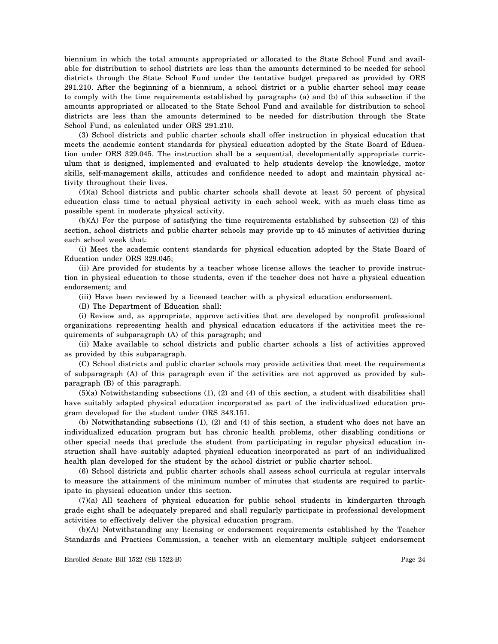biennium in which the total amounts appropriated or allocated to the State School Fund and available for distribution to school districts are less than the amounts determined to be needed for school districts through the State School Fund under the tentative budget prepared as provided by ORS 291.210. After the beginning of a biennium, a school district or a public charter school may cease to comply with the time requirements established by paragraphs (a) and (b) of this subsection if the amounts appropriated or allocated to the State School Fund and available for distribution to school districts are less than the amounts determined to be needed for distribution through the State School Fund, as calculated under ORS 291.210.

(3) School districts and public charter schools shall offer instruction in physical education that meets the academic content standards for physical education adopted by the State Board of Education under ORS 329.045. The instruction shall be a sequential, developmentally appropriate curriculum that is designed, implemented and evaluated to help students develop the knowledge, motor skills, self-management skills, attitudes and confidence needed to adopt and maintain physical activity throughout their lives.

(4)(a) School districts and public charter schools shall devote at least 50 percent of physical education class time to actual physical activity in each school week, with as much class time as possible spent in moderate physical activity.

(b)(A) For the purpose of satisfying the time requirements established by subsection (2) of this section, school districts and public charter schools may provide up to 45 minutes of activities during each school week that:

(i) Meet the academic content standards for physical education adopted by the State Board of Education under ORS 329.045;

(ii) Are provided for students by a teacher whose license allows the teacher to provide instruction in physical education to those students, even if the teacher does not have a physical education endorsement; and

(iii) Have been reviewed by a licensed teacher with a physical education endorsement.

(B) The Department of Education shall:

(i) Review and, as appropriate, approve activities that are developed by nonprofit professional organizations representing health and physical education educators if the activities meet the requirements of subparagraph (A) of this paragraph; and

(ii) Make available to school districts and public charter schools a list of activities approved as provided by this subparagraph.

(C) School districts and public charter schools may provide activities that meet the requirements of subparagraph (A) of this paragraph even if the activities are not approved as provided by subparagraph (B) of this paragraph.

(5)(a) Notwithstanding subsections (1), (2) and (4) of this section, a student with disabilities shall have suitably adapted physical education incorporated as part of the individualized education program developed for the student under ORS 343.151.

(b) Notwithstanding subsections (1), (2) and (4) of this section, a student who does not have an individualized education program but has chronic health problems, other disabling conditions or other special needs that preclude the student from participating in regular physical education instruction shall have suitably adapted physical education incorporated as part of an individualized health plan developed for the student by the school district or public charter school.

(6) School districts and public charter schools shall assess school curricula at regular intervals to measure the attainment of the minimum number of minutes that students are required to participate in physical education under this section.

(7)(a) All teachers of physical education for public school students in kindergarten through grade eight shall be adequately prepared and shall regularly participate in professional development activities to effectively deliver the physical education program.

(b)(A) Notwithstanding any licensing or endorsement requirements established by the Teacher Standards and Practices Commission, a teacher with an elementary multiple subject endorsement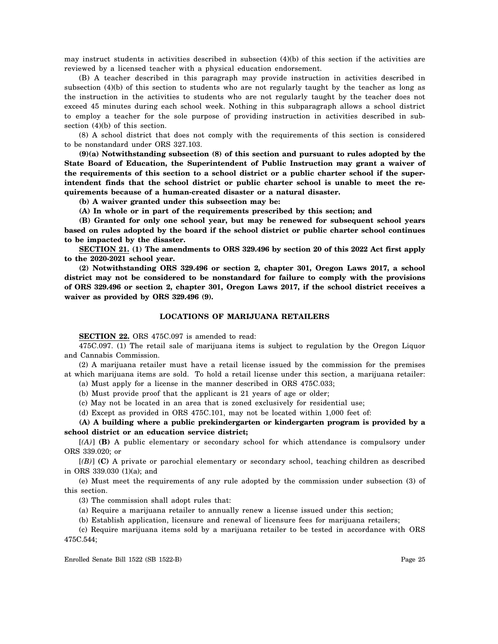may instruct students in activities described in subsection (4)(b) of this section if the activities are reviewed by a licensed teacher with a physical education endorsement.

(B) A teacher described in this paragraph may provide instruction in activities described in subsection (4)(b) of this section to students who are not regularly taught by the teacher as long as the instruction in the activities to students who are not regularly taught by the teacher does not exceed 45 minutes during each school week. Nothing in this subparagraph allows a school district to employ a teacher for the sole purpose of providing instruction in activities described in subsection (4)(b) of this section.

(8) A school district that does not comply with the requirements of this section is considered to be nonstandard under ORS 327.103.

**(9)(a) Notwithstanding subsection (8) of this section and pursuant to rules adopted by the State Board of Education, the Superintendent of Public Instruction may grant a waiver of the requirements of this section to a school district or a public charter school if the superintendent finds that the school district or public charter school is unable to meet the requirements because of a human-created disaster or a natural disaster.**

**(b) A waiver granted under this subsection may be:**

**(A) In whole or in part of the requirements prescribed by this section; and**

**(B) Granted for only one school year, but may be renewed for subsequent school years based on rules adopted by the board if the school district or public charter school continues to be impacted by the disaster.**

**SECTION 21. (1) The amendments to ORS 329.496 by section 20 of this 2022 Act first apply to the 2020-2021 school year.**

**(2) Notwithstanding ORS 329.496 or section 2, chapter 301, Oregon Laws 2017, a school district may not be considered to be nonstandard for failure to comply with the provisions of ORS 329.496 or section 2, chapter 301, Oregon Laws 2017, if the school district receives a waiver as provided by ORS 329.496 (9).**

## **LOCATIONS OF MARIJUANA RETAILERS**

**SECTION 22.** ORS 475C.097 is amended to read:

475C.097. (1) The retail sale of marijuana items is subject to regulation by the Oregon Liquor and Cannabis Commission.

(2) A marijuana retailer must have a retail license issued by the commission for the premises at which marijuana items are sold. To hold a retail license under this section, a marijuana retailer:

(a) Must apply for a license in the manner described in ORS 475C.033;

(b) Must provide proof that the applicant is 21 years of age or older;

(c) May not be located in an area that is zoned exclusively for residential use;

(d) Except as provided in ORS 475C.101, may not be located within 1,000 feet of:

**(A) A building where a public prekindergarten or kindergarten program is provided by a school district or an education service district;**

[*(A)*] **(B)** A public elementary or secondary school for which attendance is compulsory under ORS 339.020; or

[*(B)*] **(C)** A private or parochial elementary or secondary school, teaching children as described in ORS 339.030 (1)(a); and

(e) Must meet the requirements of any rule adopted by the commission under subsection (3) of this section.

(3) The commission shall adopt rules that:

(a) Require a marijuana retailer to annually renew a license issued under this section;

(b) Establish application, licensure and renewal of licensure fees for marijuana retailers;

(c) Require marijuana items sold by a marijuana retailer to be tested in accordance with ORS 475C.544;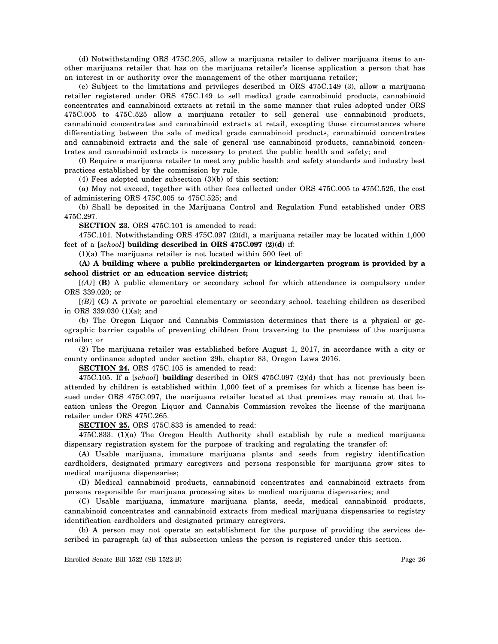(d) Notwithstanding ORS 475C.205, allow a marijuana retailer to deliver marijuana items to another marijuana retailer that has on the marijuana retailer's license application a person that has an interest in or authority over the management of the other marijuana retailer;

(e) Subject to the limitations and privileges described in ORS 475C.149 (3), allow a marijuana retailer registered under ORS 475C.149 to sell medical grade cannabinoid products, cannabinoid concentrates and cannabinoid extracts at retail in the same manner that rules adopted under ORS 475C.005 to 475C.525 allow a marijuana retailer to sell general use cannabinoid products, cannabinoid concentrates and cannabinoid extracts at retail, excepting those circumstances where differentiating between the sale of medical grade cannabinoid products, cannabinoid concentrates and cannabinoid extracts and the sale of general use cannabinoid products, cannabinoid concentrates and cannabinoid extracts is necessary to protect the public health and safety; and

(f) Require a marijuana retailer to meet any public health and safety standards and industry best practices established by the commission by rule.

(4) Fees adopted under subsection (3)(b) of this section:

(a) May not exceed, together with other fees collected under ORS 475C.005 to 475C.525, the cost of administering ORS 475C.005 to 475C.525; and

(b) Shall be deposited in the Marijuana Control and Regulation Fund established under ORS 475C.297.

**SECTION 23.** ORS 475C.101 is amended to read:

475C.101. Notwithstanding ORS 475C.097 (2)(d), a marijuana retailer may be located within 1,000 feet of a [*school*] **building described in ORS 475C.097 (2)(d)** if:

(1)(a) The marijuana retailer is not located within 500 feet of:

**(A) A building where a public prekindergarten or kindergarten program is provided by a school district or an education service district;**

[*(A)*] **(B)** A public elementary or secondary school for which attendance is compulsory under ORS 339.020; or

[*(B)*] **(C)** A private or parochial elementary or secondary school, teaching children as described in ORS 339.030 (1)(a); and

(b) The Oregon Liquor and Cannabis Commission determines that there is a physical or geographic barrier capable of preventing children from traversing to the premises of the marijuana retailer; or

(2) The marijuana retailer was established before August 1, 2017, in accordance with a city or county ordinance adopted under section 29b, chapter 83, Oregon Laws 2016.

**SECTION 24.** ORS 475C.105 is amended to read:

475C.105. If a [*school*] **building** described in ORS 475C.097 (2)(d) that has not previously been attended by children is established within 1,000 feet of a premises for which a license has been issued under ORS 475C.097, the marijuana retailer located at that premises may remain at that location unless the Oregon Liquor and Cannabis Commission revokes the license of the marijuana retailer under ORS 475C.265.

**SECTION 25.** ORS 475C.833 is amended to read:

475C.833. (1)(a) The Oregon Health Authority shall establish by rule a medical marijuana dispensary registration system for the purpose of tracking and regulating the transfer of:

(A) Usable marijuana, immature marijuana plants and seeds from registry identification cardholders, designated primary caregivers and persons responsible for marijuana grow sites to medical marijuana dispensaries;

(B) Medical cannabinoid products, cannabinoid concentrates and cannabinoid extracts from persons responsible for marijuana processing sites to medical marijuana dispensaries; and

(C) Usable marijuana, immature marijuana plants, seeds, medical cannabinoid products, cannabinoid concentrates and cannabinoid extracts from medical marijuana dispensaries to registry identification cardholders and designated primary caregivers.

(b) A person may not operate an establishment for the purpose of providing the services described in paragraph (a) of this subsection unless the person is registered under this section.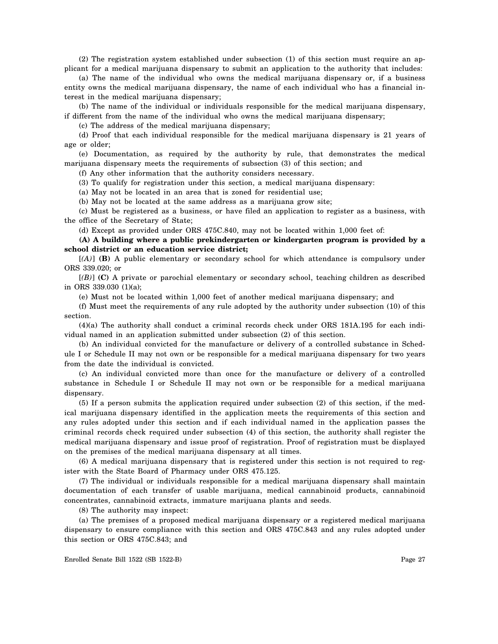(2) The registration system established under subsection (1) of this section must require an applicant for a medical marijuana dispensary to submit an application to the authority that includes:

(a) The name of the individual who owns the medical marijuana dispensary or, if a business entity owns the medical marijuana dispensary, the name of each individual who has a financial interest in the medical marijuana dispensary;

(b) The name of the individual or individuals responsible for the medical marijuana dispensary, if different from the name of the individual who owns the medical marijuana dispensary;

(c) The address of the medical marijuana dispensary;

(d) Proof that each individual responsible for the medical marijuana dispensary is 21 years of age or older;

(e) Documentation, as required by the authority by rule, that demonstrates the medical marijuana dispensary meets the requirements of subsection (3) of this section; and

(f) Any other information that the authority considers necessary.

(3) To qualify for registration under this section, a medical marijuana dispensary:

(a) May not be located in an area that is zoned for residential use;

(b) May not be located at the same address as a marijuana grow site;

(c) Must be registered as a business, or have filed an application to register as a business, with the office of the Secretary of State;

(d) Except as provided under ORS 475C.840, may not be located within 1,000 feet of:

**(A) A building where a public prekindergarten or kindergarten program is provided by a school district or an education service district;**

[*(A)*] **(B)** A public elementary or secondary school for which attendance is compulsory under ORS 339.020; or

[*(B)*] **(C)** A private or parochial elementary or secondary school, teaching children as described in ORS 339.030 (1)(a);

(e) Must not be located within 1,000 feet of another medical marijuana dispensary; and

(f) Must meet the requirements of any rule adopted by the authority under subsection (10) of this section.

(4)(a) The authority shall conduct a criminal records check under ORS 181A.195 for each individual named in an application submitted under subsection (2) of this section.

(b) An individual convicted for the manufacture or delivery of a controlled substance in Schedule I or Schedule II may not own or be responsible for a medical marijuana dispensary for two years from the date the individual is convicted.

(c) An individual convicted more than once for the manufacture or delivery of a controlled substance in Schedule I or Schedule II may not own or be responsible for a medical marijuana dispensary.

(5) If a person submits the application required under subsection (2) of this section, if the medical marijuana dispensary identified in the application meets the requirements of this section and any rules adopted under this section and if each individual named in the application passes the criminal records check required under subsection (4) of this section, the authority shall register the medical marijuana dispensary and issue proof of registration. Proof of registration must be displayed on the premises of the medical marijuana dispensary at all times.

(6) A medical marijuana dispensary that is registered under this section is not required to register with the State Board of Pharmacy under ORS 475.125.

(7) The individual or individuals responsible for a medical marijuana dispensary shall maintain documentation of each transfer of usable marijuana, medical cannabinoid products, cannabinoid concentrates, cannabinoid extracts, immature marijuana plants and seeds.

(8) The authority may inspect:

(a) The premises of a proposed medical marijuana dispensary or a registered medical marijuana dispensary to ensure compliance with this section and ORS 475C.843 and any rules adopted under this section or ORS 475C.843; and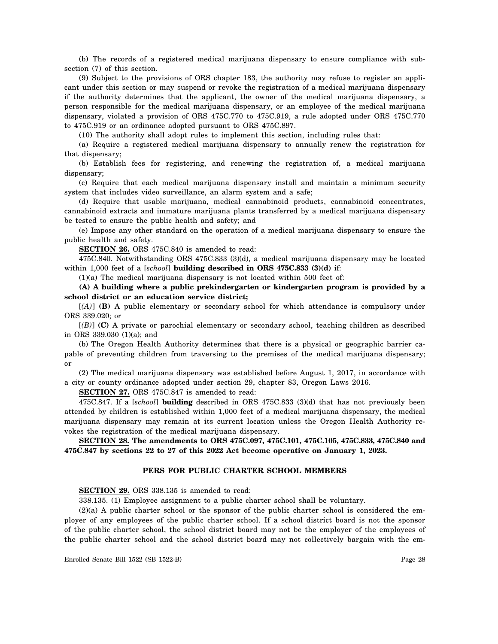(b) The records of a registered medical marijuana dispensary to ensure compliance with subsection (7) of this section.

(9) Subject to the provisions of ORS chapter 183, the authority may refuse to register an applicant under this section or may suspend or revoke the registration of a medical marijuana dispensary if the authority determines that the applicant, the owner of the medical marijuana dispensary, a person responsible for the medical marijuana dispensary, or an employee of the medical marijuana dispensary, violated a provision of ORS 475C.770 to 475C.919, a rule adopted under ORS 475C.770 to 475C.919 or an ordinance adopted pursuant to ORS 475C.897.

(10) The authority shall adopt rules to implement this section, including rules that:

(a) Require a registered medical marijuana dispensary to annually renew the registration for that dispensary;

(b) Establish fees for registering, and renewing the registration of, a medical marijuana dispensary;

(c) Require that each medical marijuana dispensary install and maintain a minimum security system that includes video surveillance, an alarm system and a safe;

(d) Require that usable marijuana, medical cannabinoid products, cannabinoid concentrates, cannabinoid extracts and immature marijuana plants transferred by a medical marijuana dispensary be tested to ensure the public health and safety; and

(e) Impose any other standard on the operation of a medical marijuana dispensary to ensure the public health and safety.

**SECTION 26.** ORS 475C.840 is amended to read:

475C.840. Notwithstanding ORS 475C.833 (3)(d), a medical marijuana dispensary may be located within 1,000 feet of a [*school*] **building described in ORS 475C.833 (3)(d)** if:

(1)(a) The medical marijuana dispensary is not located within 500 feet of:

**(A) A building where a public prekindergarten or kindergarten program is provided by a school district or an education service district;**

[*(A)*] **(B)** A public elementary or secondary school for which attendance is compulsory under ORS 339.020; or

[*(B)*] **(C)** A private or parochial elementary or secondary school, teaching children as described in ORS 339.030 (1)(a); and

(b) The Oregon Health Authority determines that there is a physical or geographic barrier capable of preventing children from traversing to the premises of the medical marijuana dispensary; or

(2) The medical marijuana dispensary was established before August 1, 2017, in accordance with a city or county ordinance adopted under section 29, chapter 83, Oregon Laws 2016.

**SECTION 27.** ORS 475C.847 is amended to read:

475C.847. If a [*school*] **building** described in ORS 475C.833 (3)(d) that has not previously been attended by children is established within 1,000 feet of a medical marijuana dispensary, the medical marijuana dispensary may remain at its current location unless the Oregon Health Authority revokes the registration of the medical marijuana dispensary.

**SECTION 28. The amendments to ORS 475C.097, 475C.101, 475C.105, 475C.833, 475C.840 and 475C.847 by sections 22 to 27 of this 2022 Act become operative on January 1, 2023.**

#### **PERS FOR PUBLIC CHARTER SCHOOL MEMBERS**

**SECTION 29.** ORS 338.135 is amended to read:

338.135. (1) Employee assignment to a public charter school shall be voluntary.

(2)(a) A public charter school or the sponsor of the public charter school is considered the employer of any employees of the public charter school. If a school district board is not the sponsor of the public charter school, the school district board may not be the employer of the employees of the public charter school and the school district board may not collectively bargain with the em-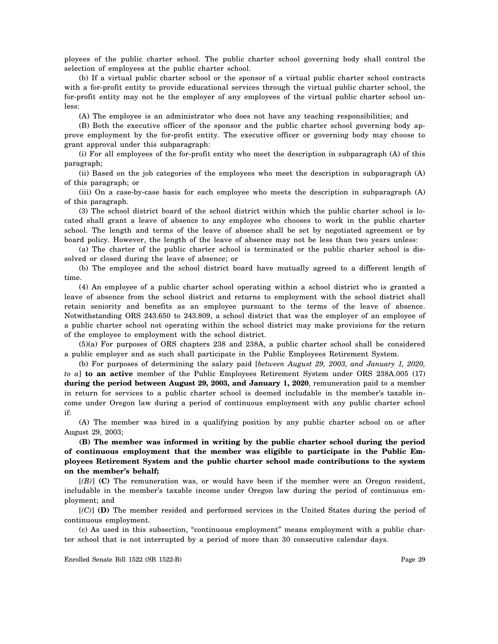ployees of the public charter school. The public charter school governing body shall control the selection of employees at the public charter school.

(b) If a virtual public charter school or the sponsor of a virtual public charter school contracts with a for-profit entity to provide educational services through the virtual public charter school, the for-profit entity may not be the employer of any employees of the virtual public charter school unless:

(A) The employee is an administrator who does not have any teaching responsibilities; and

(B) Both the executive officer of the sponsor and the public charter school governing body approve employment by the for-profit entity. The executive officer or governing body may choose to grant approval under this subparagraph:

(i) For all employees of the for-profit entity who meet the description in subparagraph (A) of this paragraph;

(ii) Based on the job categories of the employees who meet the description in subparagraph (A) of this paragraph; or

(iii) On a case-by-case basis for each employee who meets the description in subparagraph (A) of this paragraph.

(3) The school district board of the school district within which the public charter school is located shall grant a leave of absence to any employee who chooses to work in the public charter school. The length and terms of the leave of absence shall be set by negotiated agreement or by board policy. However, the length of the leave of absence may not be less than two years unless:

(a) The charter of the public charter school is terminated or the public charter school is dissolved or closed during the leave of absence; or

(b) The employee and the school district board have mutually agreed to a different length of time.

(4) An employee of a public charter school operating within a school district who is granted a leave of absence from the school district and returns to employment with the school district shall retain seniority and benefits as an employee pursuant to the terms of the leave of absence. Notwithstanding ORS 243.650 to 243.809, a school district that was the employer of an employee of a public charter school not operating within the school district may make provisions for the return of the employee to employment with the school district.

(5)(a) For purposes of ORS chapters 238 and 238A, a public charter school shall be considered a public employer and as such shall participate in the Public Employees Retirement System.

(b) For purposes of determining the salary paid [*between August 29, 2003, and January 1, 2020, to a*] **to an active** member of the Public Employees Retirement System under ORS 238A.005 (17) during the period between August 29, 2003, and January 1, 2020, remuneration paid to a member in return for services to a public charter school is deemed includable in the member's taxable income under Oregon law during a period of continuous employment with any public charter school if:

(A) The member was hired in a qualifying position by any public charter school on or after August 29, 2003;

**(B) The member was informed in writing by the public charter school during the period of continuous employment that the member was eligible to participate in the Public Employees Retirement System and the public charter school made contributions to the system on the member's behalf;**

[*(B)*] **(C)** The remuneration was, or would have been if the member were an Oregon resident, includable in the member's taxable income under Oregon law during the period of continuous employment; and

[*(C)*] **(D)** The member resided and performed services in the United States during the period of continuous employment.

(c) As used in this subsection, "continuous employment" means employment with a public charter school that is not interrupted by a period of more than 30 consecutive calendar days.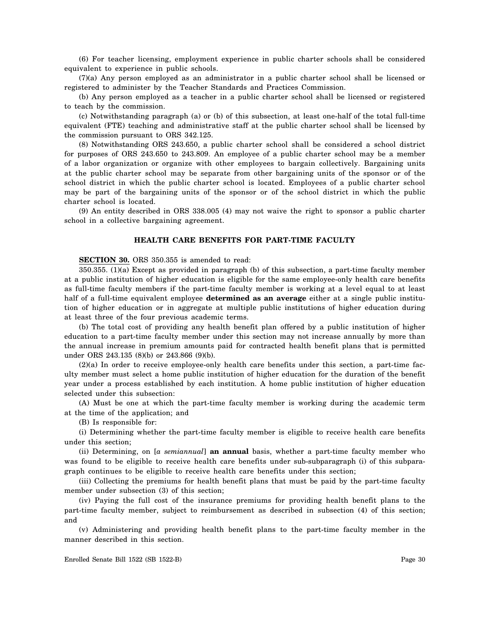(6) For teacher licensing, employment experience in public charter schools shall be considered equivalent to experience in public schools.

(7)(a) Any person employed as an administrator in a public charter school shall be licensed or registered to administer by the Teacher Standards and Practices Commission.

(b) Any person employed as a teacher in a public charter school shall be licensed or registered to teach by the commission.

(c) Notwithstanding paragraph (a) or (b) of this subsection, at least one-half of the total full-time equivalent (FTE) teaching and administrative staff at the public charter school shall be licensed by the commission pursuant to ORS 342.125.

(8) Notwithstanding ORS 243.650, a public charter school shall be considered a school district for purposes of ORS 243.650 to 243.809. An employee of a public charter school may be a member of a labor organization or organize with other employees to bargain collectively. Bargaining units at the public charter school may be separate from other bargaining units of the sponsor or of the school district in which the public charter school is located. Employees of a public charter school may be part of the bargaining units of the sponsor or of the school district in which the public charter school is located.

(9) An entity described in ORS 338.005 (4) may not waive the right to sponsor a public charter school in a collective bargaining agreement.

## **HEALTH CARE BENEFITS FOR PART-TIME FACULTY**

#### **SECTION 30.** ORS 350.355 is amended to read:

350.355. (1)(a) Except as provided in paragraph (b) of this subsection, a part-time faculty member at a public institution of higher education is eligible for the same employee-only health care benefits as full-time faculty members if the part-time faculty member is working at a level equal to at least half of a full-time equivalent employee **determined as an average** either at a single public institution of higher education or in aggregate at multiple public institutions of higher education during at least three of the four previous academic terms.

(b) The total cost of providing any health benefit plan offered by a public institution of higher education to a part-time faculty member under this section may not increase annually by more than the annual increase in premium amounts paid for contracted health benefit plans that is permitted under ORS 243.135 (8)(b) or 243.866 (9)(b).

(2)(a) In order to receive employee-only health care benefits under this section, a part-time faculty member must select a home public institution of higher education for the duration of the benefit year under a process established by each institution. A home public institution of higher education selected under this subsection:

(A) Must be one at which the part-time faculty member is working during the academic term at the time of the application; and

(B) Is responsible for:

(i) Determining whether the part-time faculty member is eligible to receive health care benefits under this section;

(ii) Determining, on [*a semiannual*] **an annual** basis, whether a part-time faculty member who was found to be eligible to receive health care benefits under sub-subparagraph (i) of this subparagraph continues to be eligible to receive health care benefits under this section;

(iii) Collecting the premiums for health benefit plans that must be paid by the part-time faculty member under subsection (3) of this section;

(iv) Paying the full cost of the insurance premiums for providing health benefit plans to the part-time faculty member, subject to reimbursement as described in subsection (4) of this section; and

(v) Administering and providing health benefit plans to the part-time faculty member in the manner described in this section.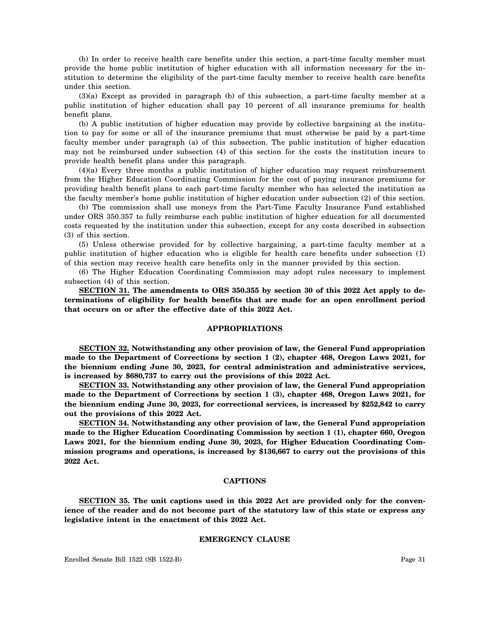(b) In order to receive health care benefits under this section, a part-time faculty member must provide the home public institution of higher education with all information necessary for the institution to determine the eligibility of the part-time faculty member to receive health care benefits under this section.

(3)(a) Except as provided in paragraph (b) of this subsection, a part-time faculty member at a public institution of higher education shall pay 10 percent of all insurance premiums for health benefit plans.

(b) A public institution of higher education may provide by collective bargaining at the institution to pay for some or all of the insurance premiums that must otherwise be paid by a part-time faculty member under paragraph (a) of this subsection. The public institution of higher education may not be reimbursed under subsection (4) of this section for the costs the institution incurs to provide health benefit plans under this paragraph.

(4)(a) Every three months a public institution of higher education may request reimbursement from the Higher Education Coordinating Commission for the cost of paying insurance premiums for providing health benefit plans to each part-time faculty member who has selected the institution as the faculty member's home public institution of higher education under subsection (2) of this section.

(b) The commission shall use moneys from the Part-Time Faculty Insurance Fund established under ORS 350.357 to fully reimburse each public institution of higher education for all documented costs requested by the institution under this subsection, except for any costs described in subsection (3) of this section.

(5) Unless otherwise provided for by collective bargaining, a part-time faculty member at a public institution of higher education who is eligible for health care benefits under subsection (1) of this section may receive health care benefits only in the manner provided by this section.

(6) The Higher Education Coordinating Commission may adopt rules necessary to implement subsection (4) of this section.

**SECTION 31. The amendments to ORS 350.355 by section 30 of this 2022 Act apply to determinations of eligibility for health benefits that are made for an open enrollment period that occurs on or after the effective date of this 2022 Act.**

#### **APPROPRIATIONS**

**SECTION 32. Notwithstanding any other provision of law, the General Fund appropriation made to the Department of Corrections by section 1 (2), chapter 468, Oregon Laws 2021, for the biennium ending June 30, 2023, for central administration and administrative services, is increased by \$680,737 to carry out the provisions of this 2022 Act.**

**SECTION 33. Notwithstanding any other provision of law, the General Fund appropriation made to the Department of Corrections by section 1 (3), chapter 468, Oregon Laws 2021, for the biennium ending June 30, 2023, for correctional services, is increased by \$252,842 to carry out the provisions of this 2022 Act.**

**SECTION 34. Notwithstanding any other provision of law, the General Fund appropriation made to the Higher Education Coordinating Commission by section 1 (1), chapter 660, Oregon Laws 2021, for the biennium ending June 30, 2023, for Higher Education Coordinating Commission programs and operations, is increased by \$136,667 to carry out the provisions of this 2022 Act.**

#### **CAPTIONS**

**SECTION 35. The unit captions used in this 2022 Act are provided only for the convenience of the reader and do not become part of the statutory law of this state or express any legislative intent in the enactment of this 2022 Act.**

#### **EMERGENCY CLAUSE**